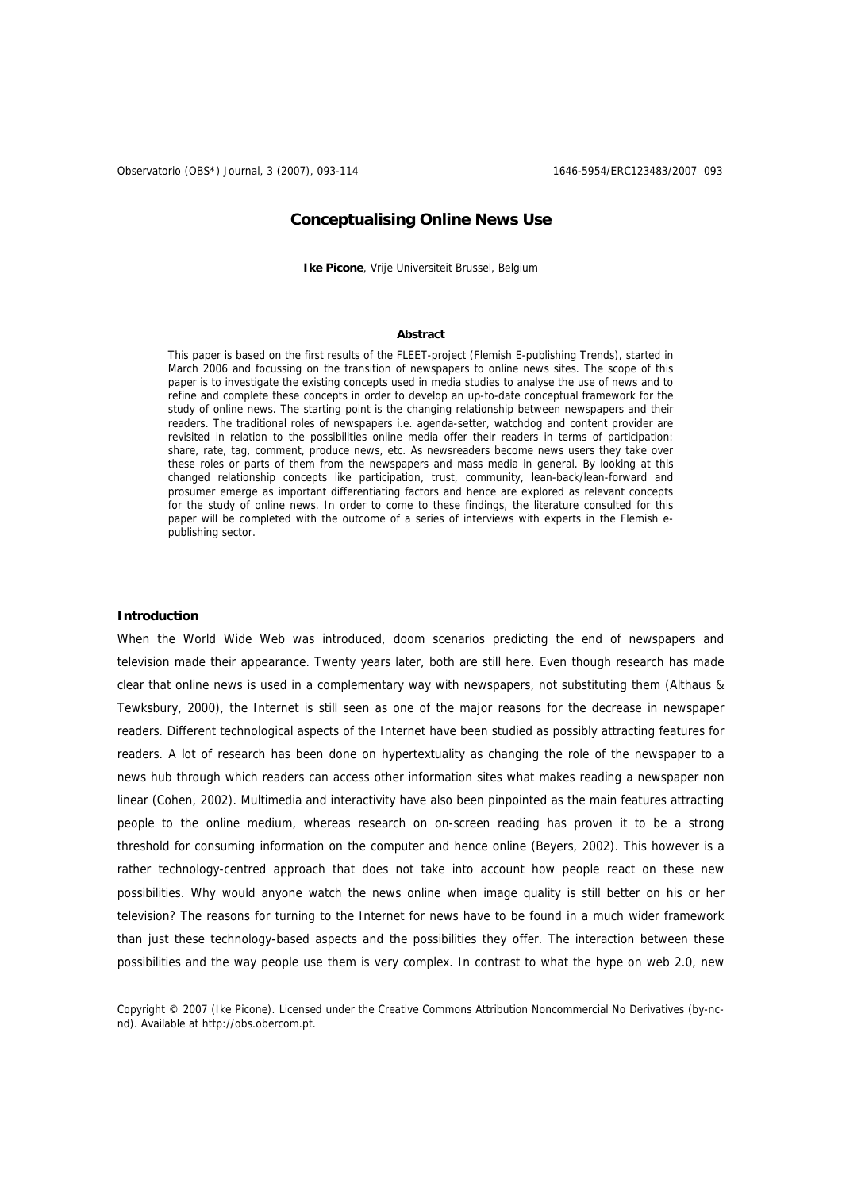# **Conceptualising Online News Use**

**Ike Picone**, Vrije Universiteit Brussel, Belgium

# **Abstract**

This paper is based on the first results of the FLEET-project (Flemish E-publishing Trends), started in March 2006 and focussing on the transition of newspapers to online news sites. The scope of this paper is to investigate the existing concepts used in media studies to analyse the use of news and to refine and complete these concepts in order to develop an up-to-date conceptual framework for the study of online news. The starting point is the changing relationship between newspapers and their readers. The traditional roles of newspapers i.e. agenda-setter, watchdog and content provider are revisited in relation to the possibilities online media offer their readers in terms of participation: share, rate, tag, comment, produce news, etc. As newsreaders become news users they take over these roles or parts of them from the newspapers and mass media in general. By looking at this changed relationship concepts like participation, trust, community, lean-back/lean-forward and prosumer emerge as important differentiating factors and hence are explored as relevant concepts for the study of online news. In order to come to these findings, the literature consulted for this paper will be completed with the outcome of a series of interviews with experts in the Flemish epublishing sector.

#### **Introduction**

When the World Wide Web was introduced, doom scenarios predicting the end of newspapers and television made their appearance. Twenty years later, both are still here. Even though research has made clear that online news is used in a complementary way with newspapers, not substituting them (Althaus & Tewksbury, 2000), the Internet is still seen as one of the major reasons for the decrease in newspaper readers. Different technological aspects of the Internet have been studied as possibly attracting features for readers. A lot of research has been done on hypertextuality as changing the role of the newspaper to a news hub through which readers can access other information sites what makes reading a newspaper non linear (Cohen, 2002). Multimedia and interactivity have also been pinpointed as the main features attracting people to the online medium, whereas research on on-screen reading has proven it to be a strong threshold for consuming information on the computer and hence online (Beyers, 2002). This however is a rather technology-centred approach that does not take into account how people react on these new possibilities. Why would anyone watch the news online when image quality is still better on his or her television? The reasons for turning to the Internet for news have to be found in a much wider framework than just these technology-based aspects and the possibilities they offer. The interaction between these possibilities and the way people use them is very complex. In contrast to what the hype on web 2.0, new

Copyright © 2007 (Ike Picone). Licensed under the Creative Commons Attribution Noncommercial No Derivatives (by-ncnd). Available at http://obs.obercom.pt.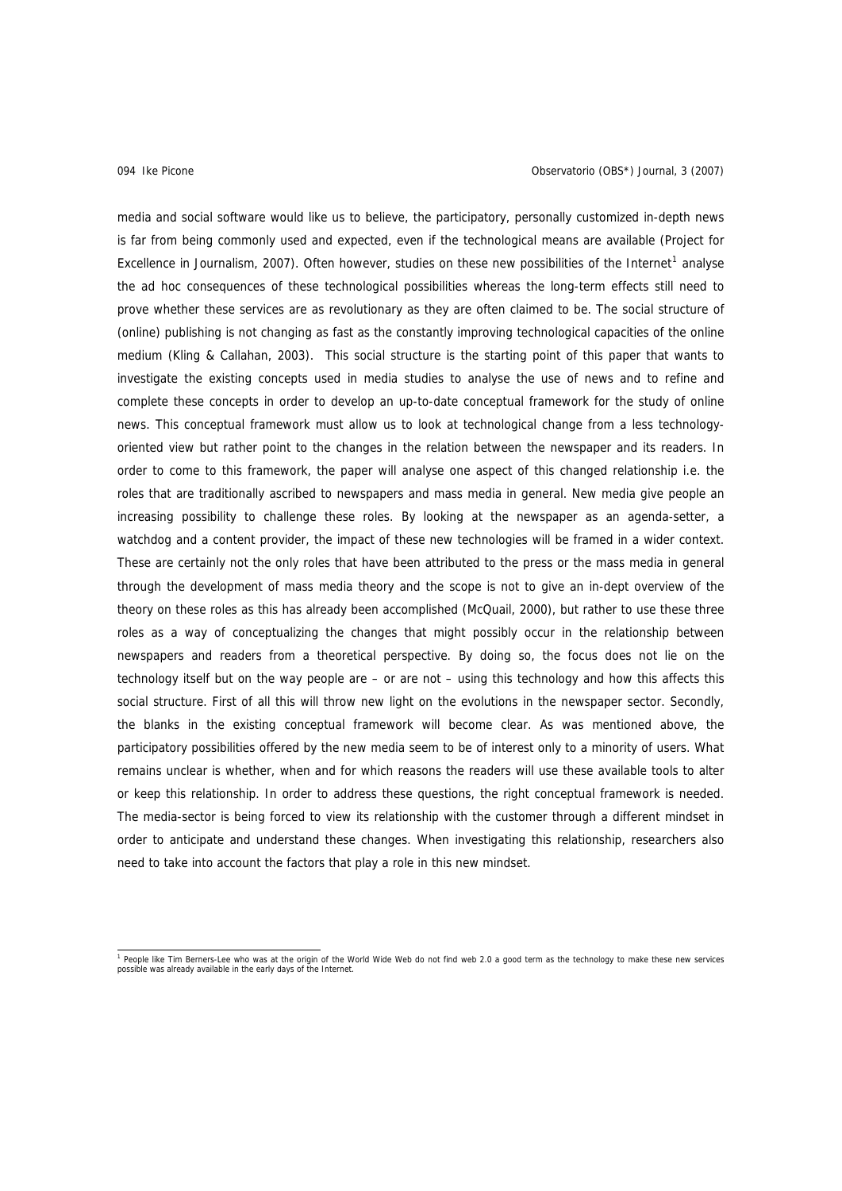media and social software would like us to believe, the participatory, personally customized in-depth news is far from being commonly used and expected, even if the technological means are available (Project for Excellence in Journalism, 2007). Often however, studies on these new possibilities of the Internet<sup>[1](#page-1-0)</sup> analyse the ad hoc consequences of these technological possibilities whereas the long-term effects still need to prove whether these services are as revolutionary as they are often claimed to be. The social structure of (online) publishing is not changing as fast as the constantly improving technological capacities of the online medium (Kling & Callahan, 2003). This social structure is the starting point of this paper that wants to investigate the existing concepts used in media studies to analyse the use of news and to refine and complete these concepts in order to develop an up-to-date conceptual framework for the study of online news. This conceptual framework must allow us to look at technological change from a less technologyoriented view but rather point to the changes in the relation between the newspaper and its readers. In order to come to this framework, the paper will analyse one aspect of this changed relationship i.e. the roles that are traditionally ascribed to newspapers and mass media in general. New media give people an increasing possibility to challenge these roles. By looking at the newspaper as an agenda-setter, a watchdog and a content provider, the impact of these new technologies will be framed in a wider context. These are certainly not the only roles that have been attributed to the press or the mass media in general through the development of mass media theory and the scope is not to give an in-dept overview of the theory on these roles as this has already been accomplished (McQuail, 2000), but rather to use these three roles as a way of conceptualizing the changes that might possibly occur in the relationship between newspapers and readers from a theoretical perspective. By doing so, the focus does not lie on the technology itself but on the way people are – or are not – using this technology and how this affects this social structure. First of all this will throw new light on the evolutions in the newspaper sector. Secondly, the blanks in the existing conceptual framework will become clear. As was mentioned above, the participatory possibilities offered by the new media seem to be of interest only to a minority of users. What remains unclear is whether, when and for which reasons the readers will use these available tools to alter or keep this relationship. In order to address these questions, the right conceptual framework is needed. The media-sector is being forced to view its relationship with the customer through a different mindset in order to anticipate and understand these changes. When investigating this relationship, researchers also need to take into account the factors that play a role in this new mindset.

<span id="page-1-0"></span><sup>1&</sup>lt;br>I People like Tim Berners-Lee who was at the origin of the World Wide Web do not find web 2.0 a good term as the technology to make these new services possible was already available in the early days of the Internet.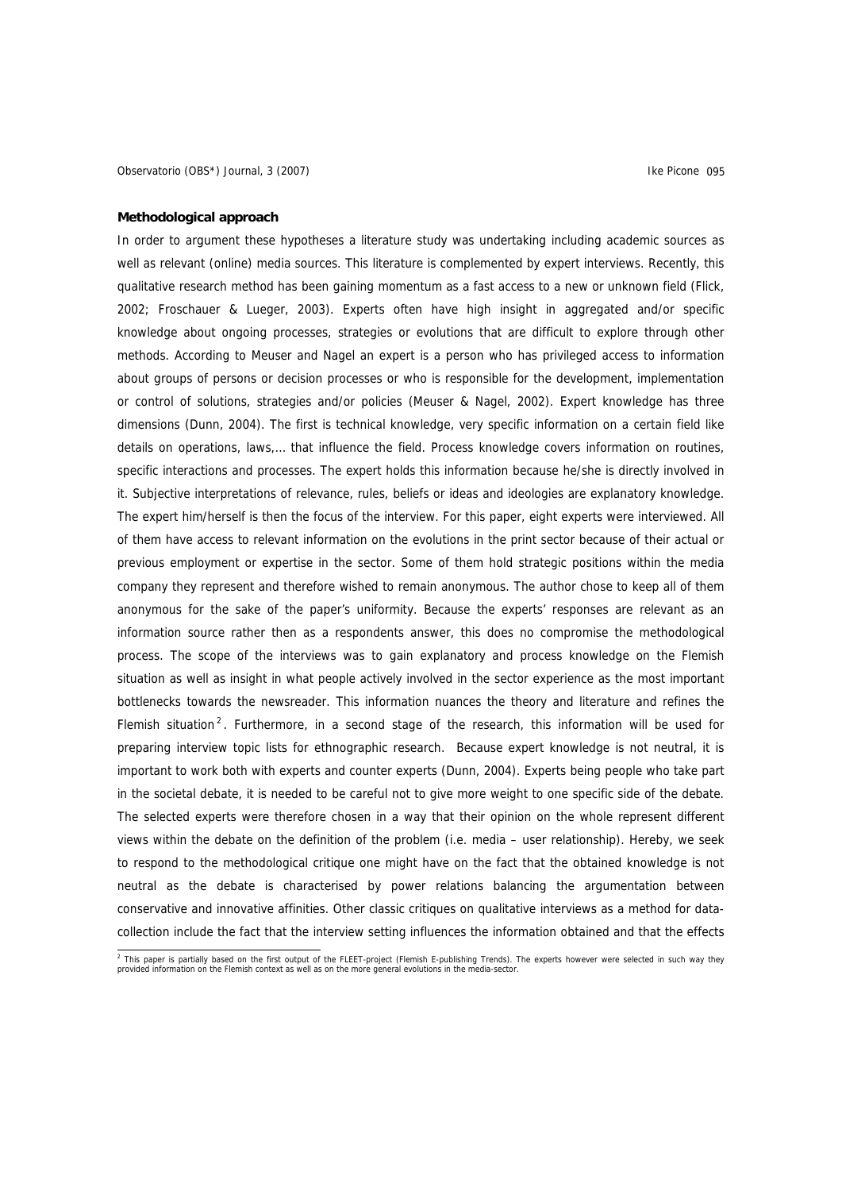# **Methodological approach**

In order to argument these hypotheses a literature study was undertaking including academic sources as well as relevant (online) media sources. This literature is complemented by expert interviews. Recently, this qualitative research method has been gaining momentum as a fast access to a new or unknown field (Flick, 2002; Froschauer & Lueger, 2003). Experts often have high insight in aggregated and/or specific knowledge about ongoing processes, strategies or evolutions that are difficult to explore through other methods. According to Meuser and Nagel an expert is a person who has privileged access to information about groups of persons or decision processes or who is responsible for the development, implementation or control of solutions, strategies and/or policies (Meuser & Nagel, 2002). Expert knowledge has three dimensions (Dunn, 2004). The first is technical knowledge, very specific information on a certain field like details on operations, laws,… that influence the field. Process knowledge covers information on routines, specific interactions and processes. The expert holds this information because he/she is directly involved in it. Subjective interpretations of relevance, rules, beliefs or ideas and ideologies are explanatory knowledge. The expert him/herself is then the focus of the interview. For this paper, eight experts were interviewed. All of them have access to relevant information on the evolutions in the print sector because of their actual or previous employment or expertise in the sector. Some of them hold strategic positions within the media company they represent and therefore wished to remain anonymous. The author chose to keep all of them anonymous for the sake of the paper's uniformity. Because the experts' responses are relevant as an information source rather then as a respondents answer, this does no compromise the methodological process. The scope of the interviews was to gain explanatory and process knowledge on the Flemish situation as well as insight in what people actively involved in the sector experience as the most important bottlenecks towards the newsreader. This information nuances the theory and literature and refines the Flemish situation<sup>[2](#page-2-0)</sup>. Furthermore, in a second stage of the research, this information will be used for preparing interview topic lists for ethnographic research. Because expert knowledge is not neutral, it is important to work both with experts and counter experts (Dunn, 2004). Experts being people who take part in the societal debate, it is needed to be careful not to give more weight to one specific side of the debate. The selected experts were therefore chosen in a way that their opinion on the whole represent different views within the debate on the definition of the problem (i.e. media – user relationship). Hereby, we seek to respond to the methodological critique one might have on the fact that the obtained knowledge is not neutral as the debate is characterised by power relations balancing the argumentation between conservative and innovative affinities. Other classic critiques on qualitative interviews as a method for datacollection include the fact that the interview setting influences the information obtained and that the effects

<span id="page-2-0"></span><sup>&</sup>lt;sup>2</sup> This paper is partially based on the first output of the FLEET-project (Flemish E-publishing Trends). The experts however were selected in such way they<br>provided information on the Flemish context as well as on the mor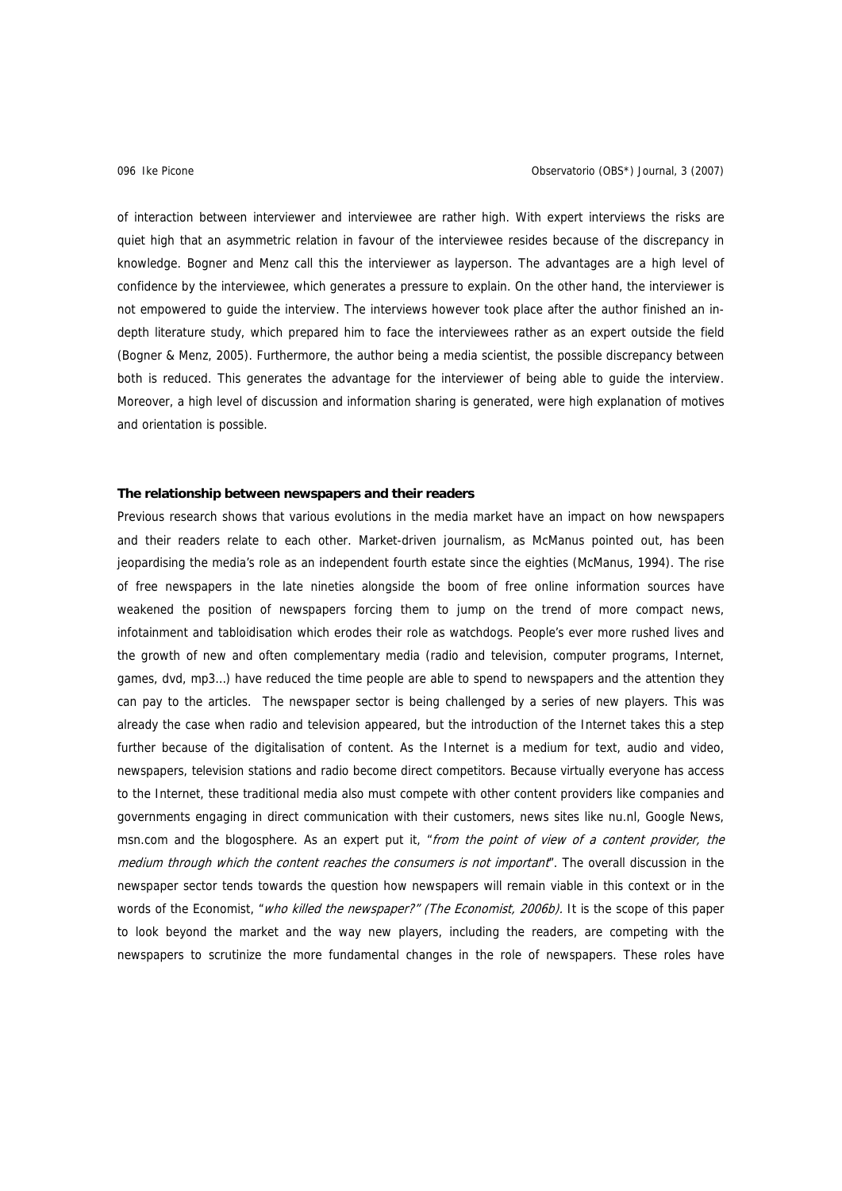of interaction between interviewer and interviewee are rather high. With expert interviews the risks are quiet high that an asymmetric relation in favour of the interviewee resides because of the discrepancy in knowledge. Bogner and Menz call this the interviewer as layperson. The advantages are a high level of confidence by the interviewee, which generates a pressure to explain. On the other hand, the interviewer is not empowered to guide the interview. The interviews however took place after the author finished an indepth literature study, which prepared him to face the interviewees rather as an expert outside the field (Bogner & Menz, 2005). Furthermore, the author being a media scientist, the possible discrepancy between both is reduced. This generates the advantage for the interviewer of being able to guide the interview. Moreover, a high level of discussion and information sharing is generated, were high explanation of motives and orientation is possible.

# **The relationship between newspapers and their readers**

Previous research shows that various evolutions in the media market have an impact on how newspapers and their readers relate to each other. Market-driven journalism, as McManus pointed out, has been jeopardising the media's role as an independent fourth estate since the eighties (McManus, 1994). The rise of free newspapers in the late nineties alongside the boom of free online information sources have weakened the position of newspapers forcing them to jump on the trend of more compact news, infotainment and tabloidisation which erodes their role as watchdogs. People's ever more rushed lives and the growth of new and often complementary media (radio and television, computer programs, Internet, games, dvd, mp3…) have reduced the time people are able to spend to newspapers and the attention they can pay to the articles. The newspaper sector is being challenged by a series of new players. This was already the case when radio and television appeared, but the introduction of the Internet takes this a step further because of the digitalisation of content. As the Internet is a medium for text, audio and video, newspapers, television stations and radio become direct competitors. Because virtually everyone has access to the Internet, these traditional media also must compete with other content providers like companies and governments engaging in direct communication with their customers, news sites like nu.nl, Google News, msn.com and the blogosphere. As an expert put it, "from the point of view of a content provider, the medium through which the content reaches the consumers is not important". The overall discussion in the newspaper sector tends towards the question how newspapers will remain viable in this context or in the words of the Economist, "*who killed the newspaper?" (The Economist, 2006b)*. It is the scope of this paper to look beyond the market and the way new players, including the readers, are competing with the newspapers to scrutinize the more fundamental changes in the role of newspapers. These roles have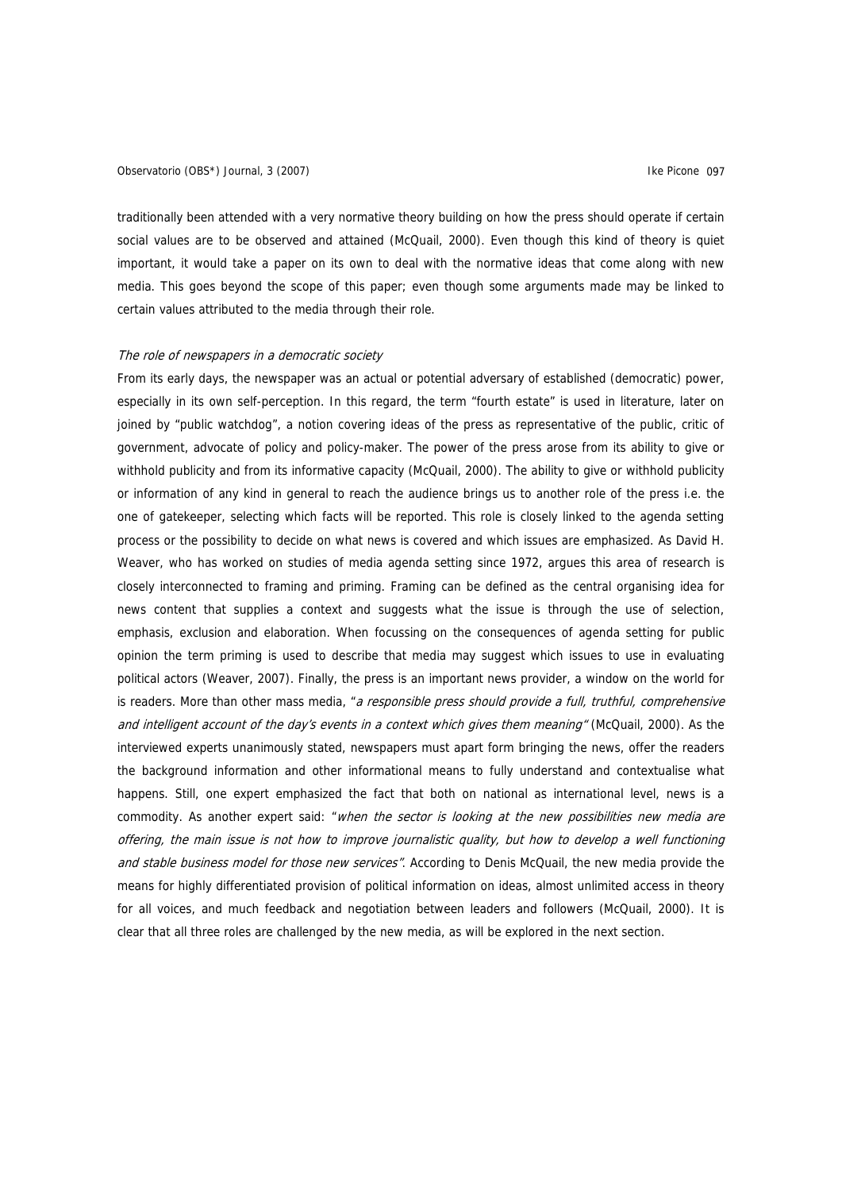# Observatorio (OBS\*) Journal, 3 (2007) Charles Controller and the Picone of The Picone of The Picone of The Picone of The Picone of The Picone of The Picone of The Picone of The Picone of The Picone of The Picone of The Pic

traditionally been attended with a very normative theory building on how the press should operate if certain social values are to be observed and attained (McQuail, 2000). Even though this kind of theory is quiet important, it would take a paper on its own to deal with the normative ideas that come along with new media. This goes beyond the scope of this paper; even though some arguments made may be linked to certain values attributed to the media through their role.

# The role of newspapers in a democratic society

From its early days, the newspaper was an actual or potential adversary of established (democratic) power, especially in its own self-perception. In this regard, the term "fourth estate" is used in literature, later on joined by "public watchdog", a notion covering ideas of the press as representative of the public, critic of government, advocate of policy and policy-maker. The power of the press arose from its ability to give or withhold publicity and from its informative capacity (McQuail, 2000). The ability to give or withhold publicity or information of any kind in general to reach the audience brings us to another role of the press i.e. the one of gatekeeper, selecting which facts will be reported. This role is closely linked to the agenda setting process or the possibility to decide on what news is covered and which issues are emphasized. As David H. Weaver, who has worked on studies of media agenda setting since 1972, argues this area of research is closely interconnected to framing and priming. Framing can be defined as the central organising idea for news content that supplies a context and suggests what the issue is through the use of selection, emphasis, exclusion and elaboration. When focussing on the consequences of agenda setting for public opinion the term priming is used to describe that media may suggest which issues to use in evaluating political actors (Weaver, 2007). Finally, the press is an important news provider, a window on the world for is readers. More than other mass media, "a responsible press should provide a full, truthful, comprehensive and intelligent account of the day's events in a context which gives them meaning" (McQuail, 2000). As the interviewed experts unanimously stated, newspapers must apart form bringing the news, offer the readers the background information and other informational means to fully understand and contextualise what happens. Still, one expert emphasized the fact that both on national as international level, news is a commodity. As another expert said: "when the sector is looking at the new possibilities new media are offering, the main issue is not how to improve journalistic quality, but how to develop a well functioning and stable business model for those new services". According to Denis McQuail, the new media provide the means for highly differentiated provision of political information on ideas, almost unlimited access in theory for all voices, and much feedback and negotiation between leaders and followers (McQuail, 2000). It is clear that all three roles are challenged by the new media, as will be explored in the next section.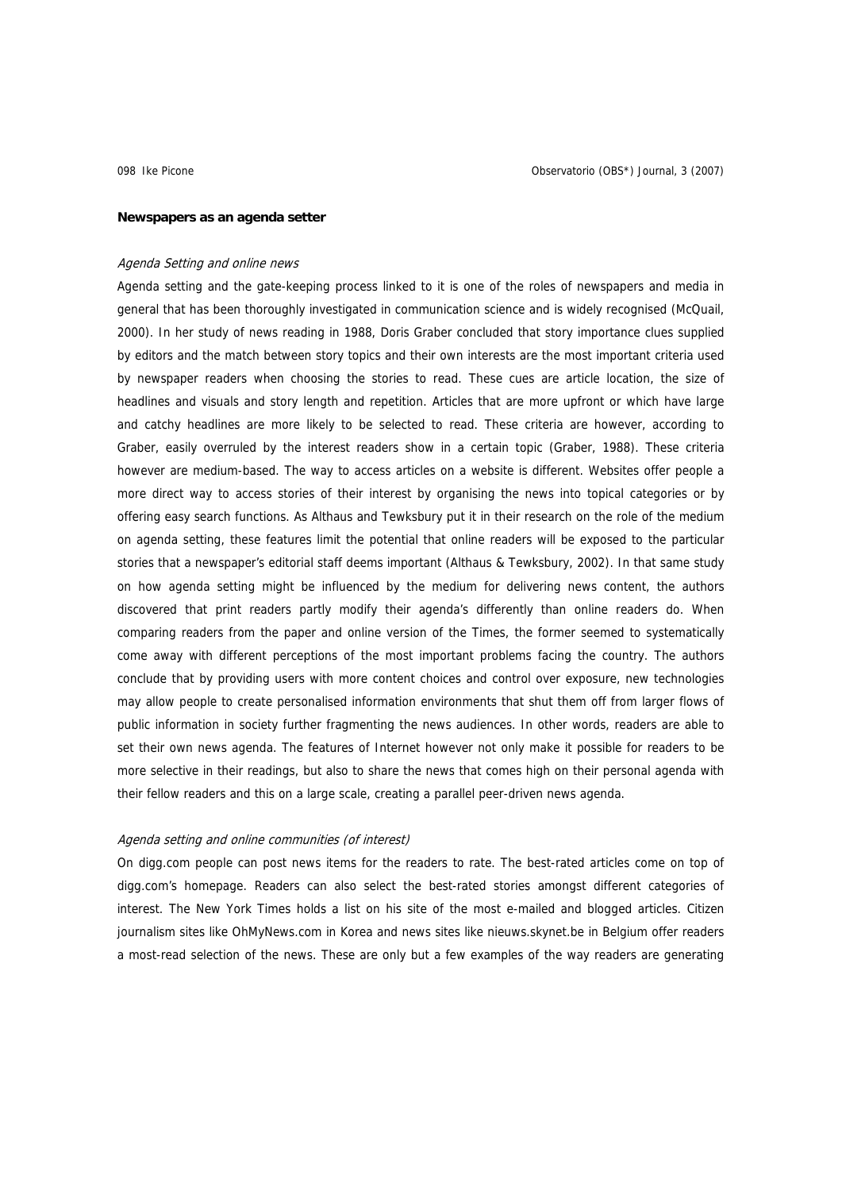### **Newspapers as an agenda setter**

# Agenda Setting and online news

Agenda setting and the gate-keeping process linked to it is one of the roles of newspapers and media in general that has been thoroughly investigated in communication science and is widely recognised (McQuail, 2000). In her study of news reading in 1988, Doris Graber concluded that story importance clues supplied by editors and the match between story topics and their own interests are the most important criteria used by newspaper readers when choosing the stories to read. These cues are article location, the size of headlines and visuals and story length and repetition. Articles that are more upfront or which have large and catchy headlines are more likely to be selected to read. These criteria are however, according to Graber, easily overruled by the interest readers show in a certain topic (Graber, 1988). These criteria however are medium-based. The way to access articles on a website is different. Websites offer people a more direct way to access stories of their interest by organising the news into topical categories or by offering easy search functions. As Althaus and Tewksbury put it in their research on the role of the medium on agenda setting, these features limit the potential that online readers will be exposed to the particular stories that a newspaper's editorial staff deems important (Althaus & Tewksbury, 2002). In that same study on how agenda setting might be influenced by the medium for delivering news content, the authors discovered that print readers partly modify their agenda's differently than online readers do. When comparing readers from the paper and online version of the Times, the former seemed to systematically come away with different perceptions of the most important problems facing the country. The authors conclude that by providing users with more content choices and control over exposure, new technologies may allow people to create personalised information environments that shut them off from larger flows of public information in society further fragmenting the news audiences. In other words, readers are able to set their own news agenda. The features of Internet however not only make it possible for readers to be more selective in their readings, but also to share the news that comes high on their personal agenda with their fellow readers and this on a large scale, creating a parallel peer-driven news agenda.

# Agenda setting and online communities (of interest)

On digg.com people can post news items for the readers to rate. The best-rated articles come on top of digg.com's homepage. Readers can also select the best-rated stories amongst different categories of interest. The New York Times holds a list on his site of the most e-mailed and blogged articles. Citizen journalism sites like OhMyNews.com in Korea and news sites like nieuws.skynet.be in Belgium offer readers a most-read selection of the news. These are only but a few examples of the way readers are generating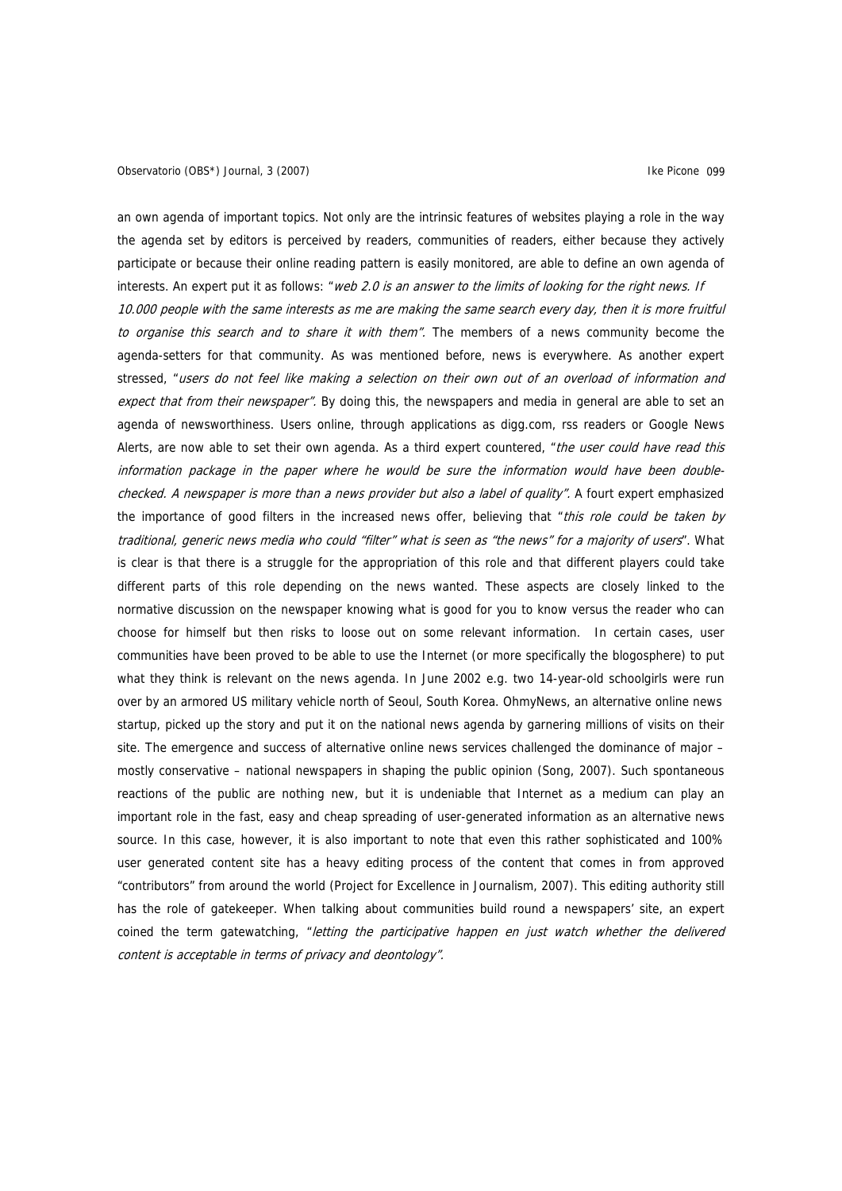an own agenda of important topics. Not only are the intrinsic features of websites playing a role in the way the agenda set by editors is perceived by readers, communities of readers, either because they actively participate or because their online reading pattern is easily monitored, are able to define an own agenda of interests. An expert put it as follows: "web 2.0 is an answer to the limits of looking for the right news. If 10.000 people with the same interests as me are making the same search every day, then it is more fruitful to organise this search and to share it with them". The members of a news community become the agenda-setters for that community. As was mentioned before, news is everywhere. As another expert stressed, "users do not feel like making a selection on their own out of an overload of information and expect that from their newspaper". By doing this, the newspapers and media in general are able to set an agenda of newsworthiness. Users online, through applications as digg.com, rss readers or Google News Alerts, are now able to set their own agenda. As a third expert countered, "the user could have read this information package in the paper where he would be sure the information would have been doublechecked. A newspaper is more than a news provider but also a label of quality". A fourt expert emphasized the importance of good filters in the increased news offer, believing that "this role could be taken by traditional, generic news media who could "filter" what is seen as "the news" for a majority of users". What is clear is that there is a struggle for the appropriation of this role and that different players could take different parts of this role depending on the news wanted. These aspects are closely linked to the normative discussion on the newspaper knowing what is good for you to know versus the reader who can choose for himself but then risks to loose out on some relevant information. In certain cases, user communities have been proved to be able to use the Internet (or more specifically the blogosphere) to put what they think is relevant on the news agenda. In June 2002 e.g. two 14-year-old schoolgirls were run over by an armored US military vehicle north of Seoul, South Korea. OhmyNews, an alternative online news startup, picked up the story and put it on the national news agenda by garnering millions of visits on their site. The emergence and success of alternative online news services challenged the dominance of major – mostly conservative – national newspapers in shaping the public opinion (Song, 2007). Such spontaneous reactions of the public are nothing new, but it is undeniable that Internet as a medium can play an important role in the fast, easy and cheap spreading of user-generated information as an alternative news source. In this case, however, it is also important to note that even this rather sophisticated and 100% user generated content site has a heavy editing process of the content that comes in from approved "contributors" from around the world (Project for Excellence in Journalism, 2007). This editing authority still has the role of gatekeeper. When talking about communities build round a newspapers' site, an expert coined the term gatewatching, "letting the participative happen en just watch whether the delivered content is acceptable in terms of privacy and deontology".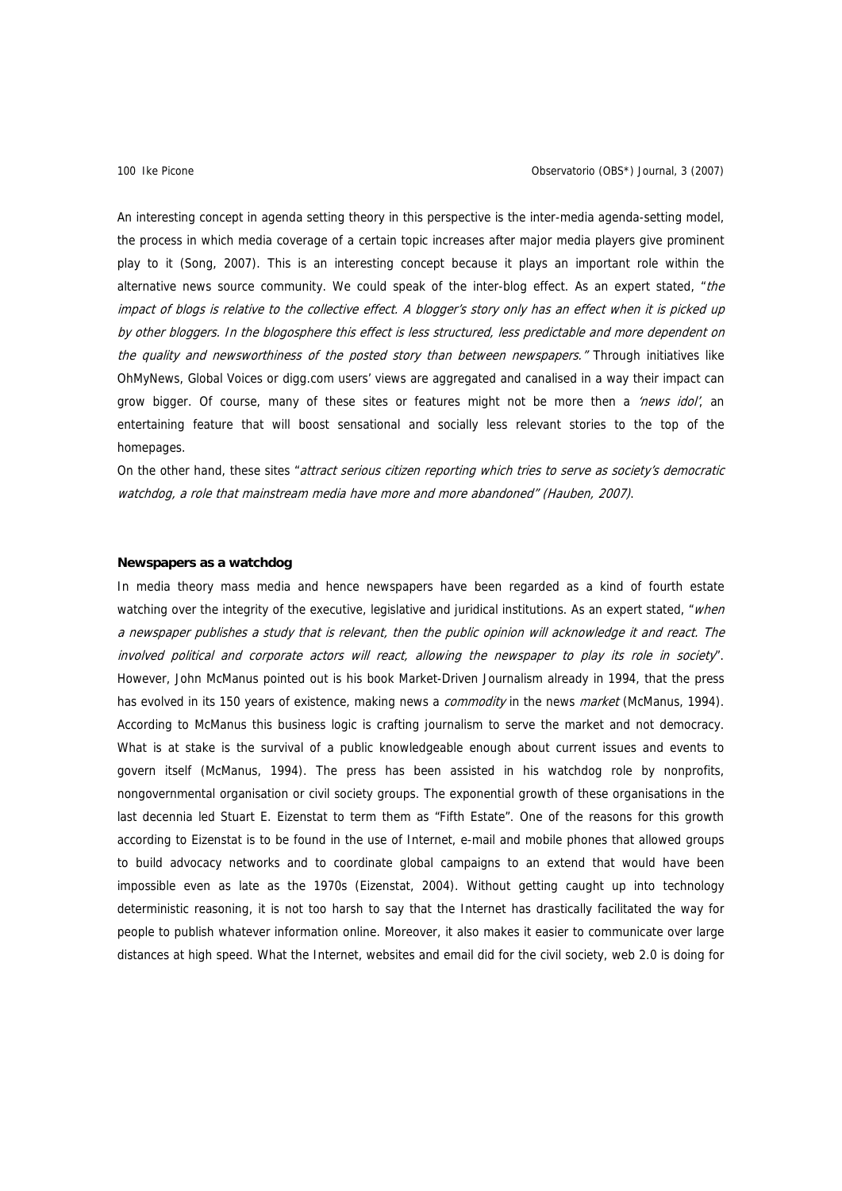An interesting concept in agenda setting theory in this perspective is the inter-media agenda-setting model, the process in which media coverage of a certain topic increases after major media players give prominent play to it (Song, 2007). This is an interesting concept because it plays an important role within the alternative news source community. We could speak of the inter-blog effect. As an expert stated, "the impact of blogs is relative to the collective effect. A blogger's story only has an effect when it is picked up by other bloggers. In the blogosphere this effect is less structured, less predictable and more dependent on the quality and newsworthiness of the posted story than between newspapers." Through initiatives like OhMyNews, Global Voices or digg.com users' views are aggregated and canalised in a way their impact can grow bigger. Of course, many of these sites or features might not be more then a 'news idol', an entertaining feature that will boost sensational and socially less relevant stories to the top of the homepages.

On the other hand, these sites "attract serious citizen reporting which tries to serve as society's democratic watchdog, a role that mainstream media have more and more abandoned" (Hauben, 2007).

# **Newspapers as a watchdog**

In media theory mass media and hence newspapers have been regarded as a kind of fourth estate watching over the integrity of the executive, legislative and juridical institutions. As an expert stated, "when a newspaper publishes a study that is relevant, then the public opinion will acknowledge it and react. The involved political and corporate actors will react, allowing the newspaper to play its role in society". However, John McManus pointed out is his book Market-Driven Journalism already in 1994, that the press has evolved in its 150 years of existence, making news a commodity in the news market (McManus, 1994). According to McManus this business logic is crafting journalism to serve the market and not democracy. What is at stake is the survival of a public knowledgeable enough about current issues and events to govern itself (McManus, 1994). The press has been assisted in his watchdog role by nonprofits, nongovernmental organisation or civil society groups. The exponential growth of these organisations in the last decennia led Stuart E. Eizenstat to term them as "Fifth Estate". One of the reasons for this growth according to Eizenstat is to be found in the use of Internet, e-mail and mobile phones that allowed groups to build advocacy networks and to coordinate global campaigns to an extend that would have been impossible even as late as the 1970s (Eizenstat, 2004). Without getting caught up into technology deterministic reasoning, it is not too harsh to say that the Internet has drastically facilitated the way for people to publish whatever information online. Moreover, it also makes it easier to communicate over large distances at high speed. What the Internet, websites and email did for the civil society, web 2.0 is doing for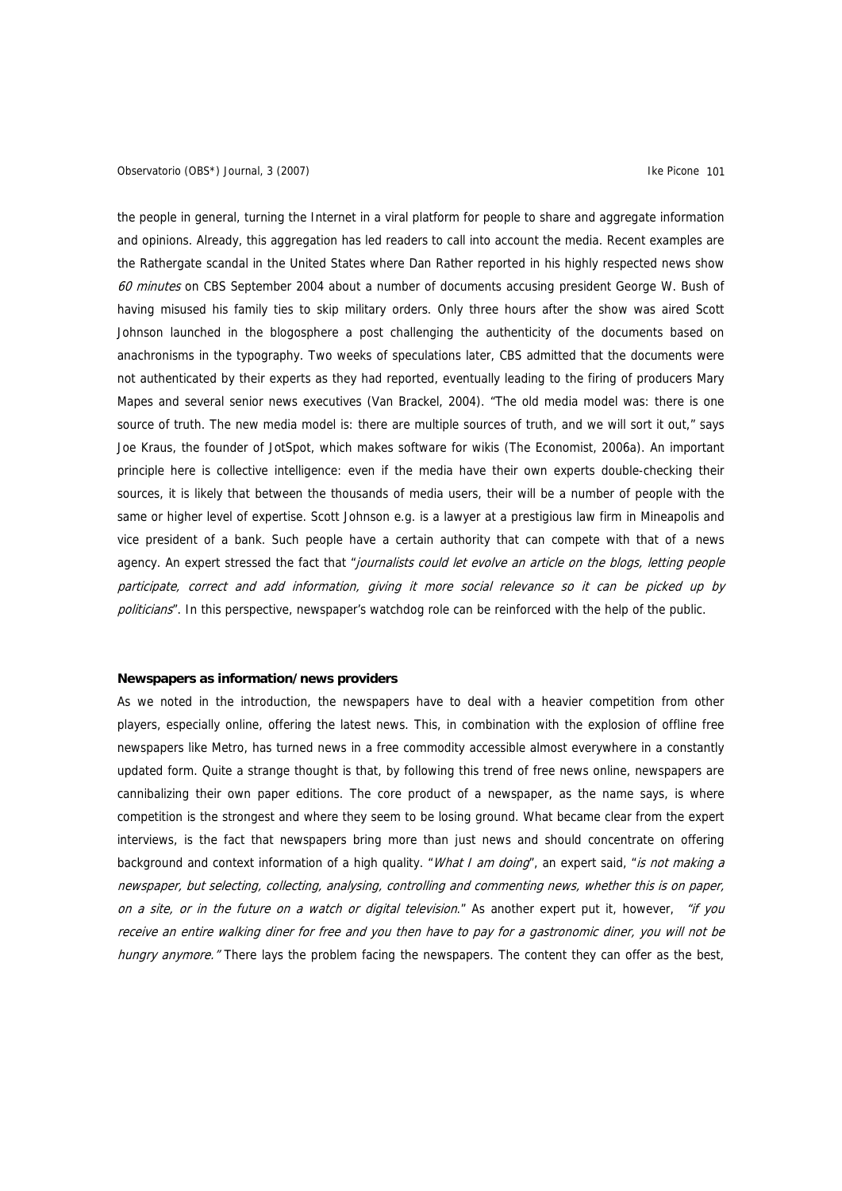the people in general, turning the Internet in a viral platform for people to share and aggregate information and opinions. Already, this aggregation has led readers to call into account the media. Recent examples are the Rathergate scandal in the United States where Dan Rather reported in his highly respected news show 60 minutes on CBS September 2004 about a number of documents accusing president George W. Bush of having misused his family ties to skip military orders. Only three hours after the show was aired Scott Johnson launched in the blogosphere a post challenging the authenticity of the documents based on anachronisms in the typography. Two weeks of speculations later, CBS admitted that the documents were not authenticated by their experts as they had reported, eventually leading to the firing of producers Mary Mapes and several senior news executives (Van Brackel, 2004). "The old media model was: there is one source of truth. The new media model is: there are multiple sources of truth, and we will sort it out," says Joe Kraus, the founder of JotSpot, which makes software for wikis (The Economist, 2006a). An important principle here is collective intelligence: even if the media have their own experts double-checking their sources, it is likely that between the thousands of media users, their will be a number of people with the same or higher level of expertise. Scott Johnson e.g. is a lawyer at a prestigious law firm in Mineapolis and vice president of a bank. Such people have a certain authority that can compete with that of a news agency. An expert stressed the fact that "journalists could let evolve an article on the blogs, letting people participate, correct and add information, giving it more social relevance so it can be picked up by politicians". In this perspective, newspaper's watchdog role can be reinforced with the help of the public.

### **Newspapers as information/news providers**

As we noted in the introduction, the newspapers have to deal with a heavier competition from other players, especially online, offering the latest news. This, in combination with the explosion of offline free newspapers like Metro, has turned news in a free commodity accessible almost everywhere in a constantly updated form. Quite a strange thought is that, by following this trend of free news online, newspapers are cannibalizing their own paper editions. The core product of a newspaper, as the name says, is where competition is the strongest and where they seem to be losing ground. What became clear from the expert interviews, is the fact that newspapers bring more than just news and should concentrate on offering background and context information of a high quality. "What I am doing", an expert said, "is not making a newspaper, but selecting, collecting, analysing, controlling and commenting news, whether this is on paper, on a site, or in the future on a watch or digital television." As another expert put it, however, "if you receive an entire walking diner for free and you then have to pay for a gastronomic diner, you will not be hungry anymore." There lays the problem facing the newspapers. The content they can offer as the best,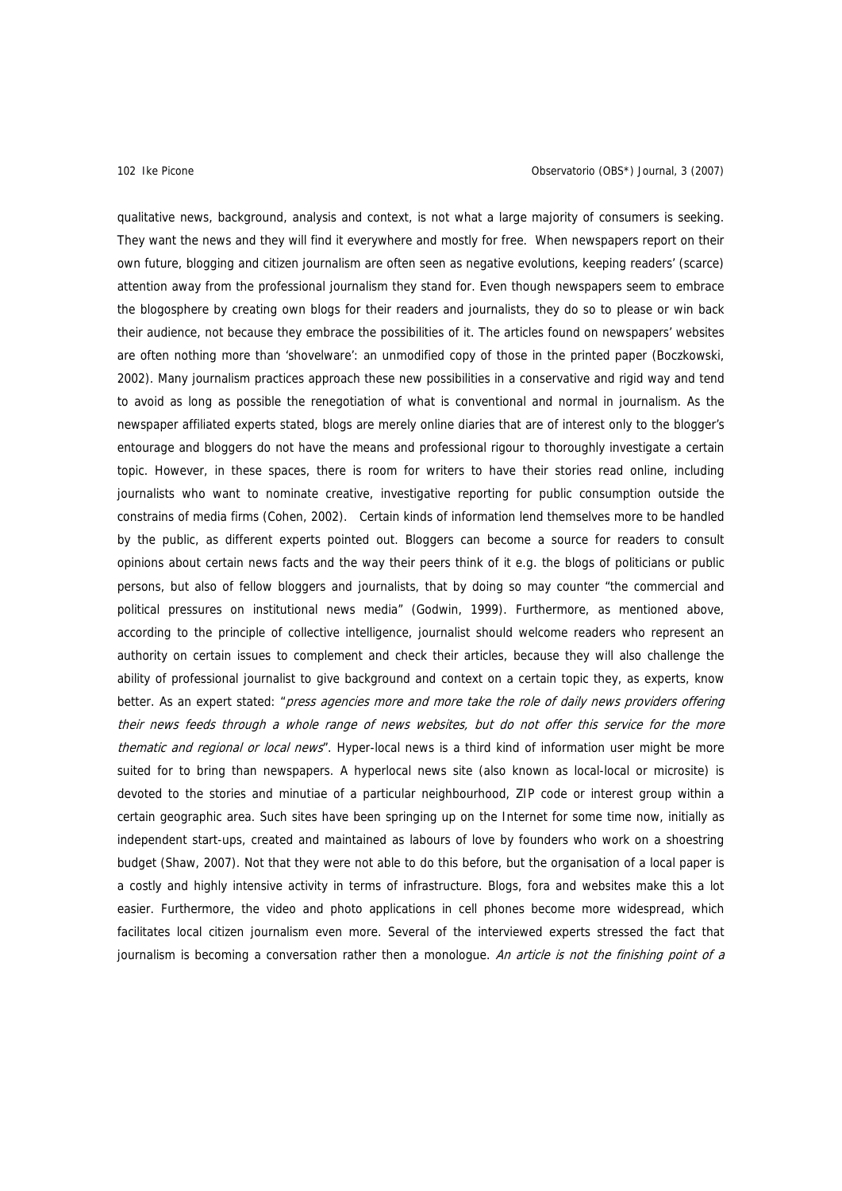qualitative news, background, analysis and context, is not what a large majority of consumers is seeking. They want the news and they will find it everywhere and mostly for free. When newspapers report on their own future, blogging and citizen journalism are often seen as negative evolutions, keeping readers' (scarce) attention away from the professional journalism they stand for. Even though newspapers seem to embrace the blogosphere by creating own blogs for their readers and journalists, they do so to please or win back their audience, not because they embrace the possibilities of it. The articles found on newspapers' websites are often nothing more than 'shovelware': an unmodified copy of those in the printed paper (Boczkowski, 2002). Many journalism practices approach these new possibilities in a conservative and rigid way and tend to avoid as long as possible the renegotiation of what is conventional and normal in journalism. As the newspaper affiliated experts stated, blogs are merely online diaries that are of interest only to the blogger's entourage and bloggers do not have the means and professional rigour to thoroughly investigate a certain topic. However, in these spaces, there is room for writers to have their stories read online, including journalists who want to nominate creative, investigative reporting for public consumption outside the constrains of media firms (Cohen, 2002). Certain kinds of information lend themselves more to be handled by the public, as different experts pointed out. Bloggers can become a source for readers to consult opinions about certain news facts and the way their peers think of it e.g. the blogs of politicians or public persons, but also of fellow bloggers and journalists, that by doing so may counter "the commercial and political pressures on institutional news media" (Godwin, 1999). Furthermore, as mentioned above, according to the principle of collective intelligence, journalist should welcome readers who represent an authority on certain issues to complement and check their articles, because they will also challenge the ability of professional journalist to give background and context on a certain topic they, as experts, know better. As an expert stated: "press agencies more and more take the role of daily news providers offering their news feeds through a whole range of news websites, but do not offer this service for the more thematic and regional or local news". Hyper-local news is a third kind of information user might be more suited for to bring than newspapers. A hyperlocal news site (also known as local-local or microsite) is devoted to the stories and minutiae of a particular neighbourhood, ZIP code or interest group within a certain geographic area. Such sites have been springing up on the Internet for some time now, initially as independent start-ups, created and maintained as labours of love by founders who work on a shoestring budget (Shaw, 2007). Not that they were not able to do this before, but the organisation of a local paper is a costly and highly intensive activity in terms of infrastructure. Blogs, fora and websites make this a lot easier. Furthermore, the video and photo applications in cell phones become more widespread, which facilitates local citizen journalism even more. Several of the interviewed experts stressed the fact that journalism is becoming a conversation rather then a monologue. An article is not the finishing point of a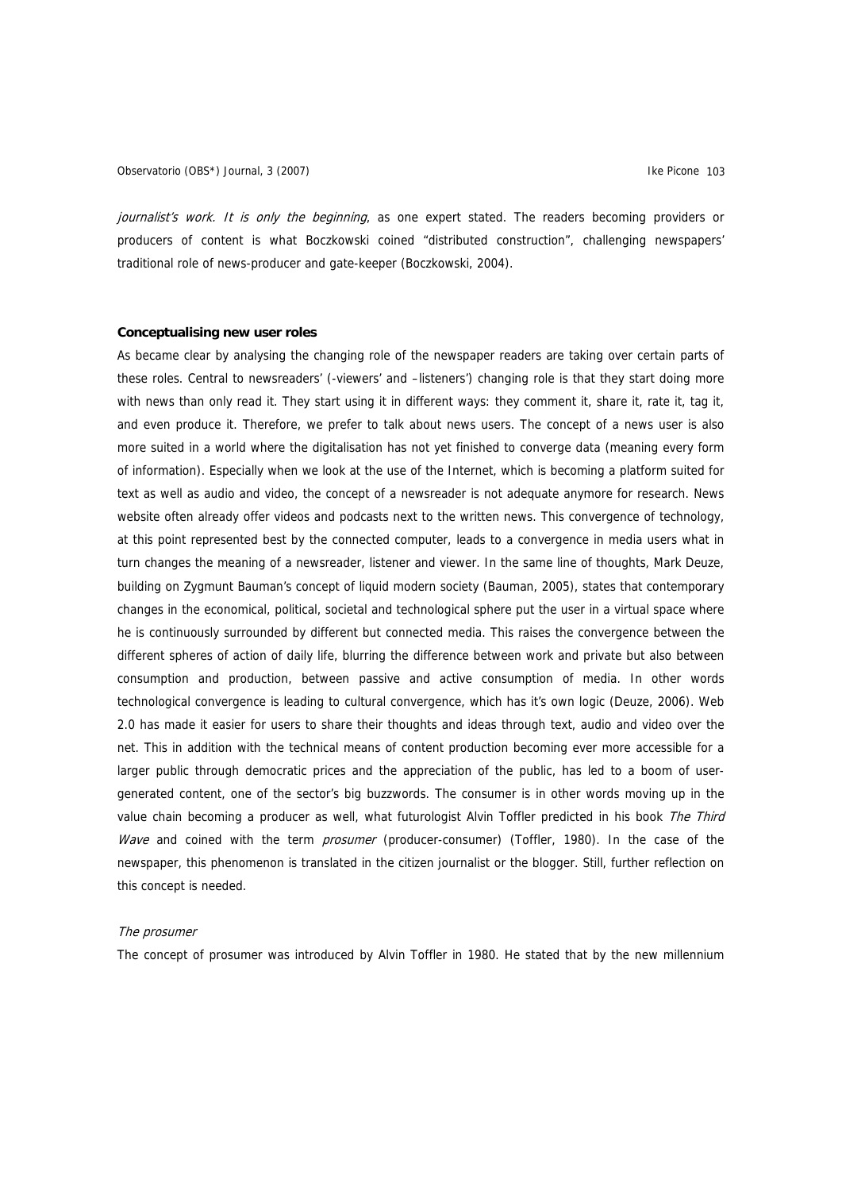journalist's work. It is only the beginning, as one expert stated. The readers becoming providers or producers of content is what Boczkowski coined "distributed construction", challenging newspapers' traditional role of news-producer and gate-keeper (Boczkowski, 2004).

# **Conceptualising new user roles**

As became clear by analysing the changing role of the newspaper readers are taking over certain parts of these roles. Central to newsreaders' (-viewers' and –listeners') changing role is that they start doing more with news than only read it. They start using it in different ways: they comment it, share it, rate it, tag it, and even produce it. Therefore, we prefer to talk about news users. The concept of a news user is also more suited in a world where the digitalisation has not yet finished to converge data (meaning every form of information). Especially when we look at the use of the Internet, which is becoming a platform suited for text as well as audio and video, the concept of a newsreader is not adequate anymore for research. News website often already offer videos and podcasts next to the written news. This convergence of technology, at this point represented best by the connected computer, leads to a convergence in media users what in turn changes the meaning of a newsreader, listener and viewer. In the same line of thoughts, Mark Deuze, building on Zygmunt Bauman's concept of liquid modern society (Bauman, 2005), states that contemporary changes in the economical, political, societal and technological sphere put the user in a virtual space where he is continuously surrounded by different but connected media. This raises the convergence between the different spheres of action of daily life, blurring the difference between work and private but also between consumption and production, between passive and active consumption of media. In other words technological convergence is leading to cultural convergence, which has it's own logic (Deuze, 2006). Web 2.0 has made it easier for users to share their thoughts and ideas through text, audio and video over the net. This in addition with the technical means of content production becoming ever more accessible for a larger public through democratic prices and the appreciation of the public, has led to a boom of usergenerated content, one of the sector's big buzzwords. The consumer is in other words moving up in the value chain becoming a producer as well, what futurologist Alvin Toffler predicted in his book The Third Wave and coined with the term prosumer (producer-consumer) (Toffler, 1980). In the case of the newspaper, this phenomenon is translated in the citizen journalist or the blogger. Still, further reflection on this concept is needed.

#### The prosumer

The concept of prosumer was introduced by Alvin Toffler in 1980. He stated that by the new millennium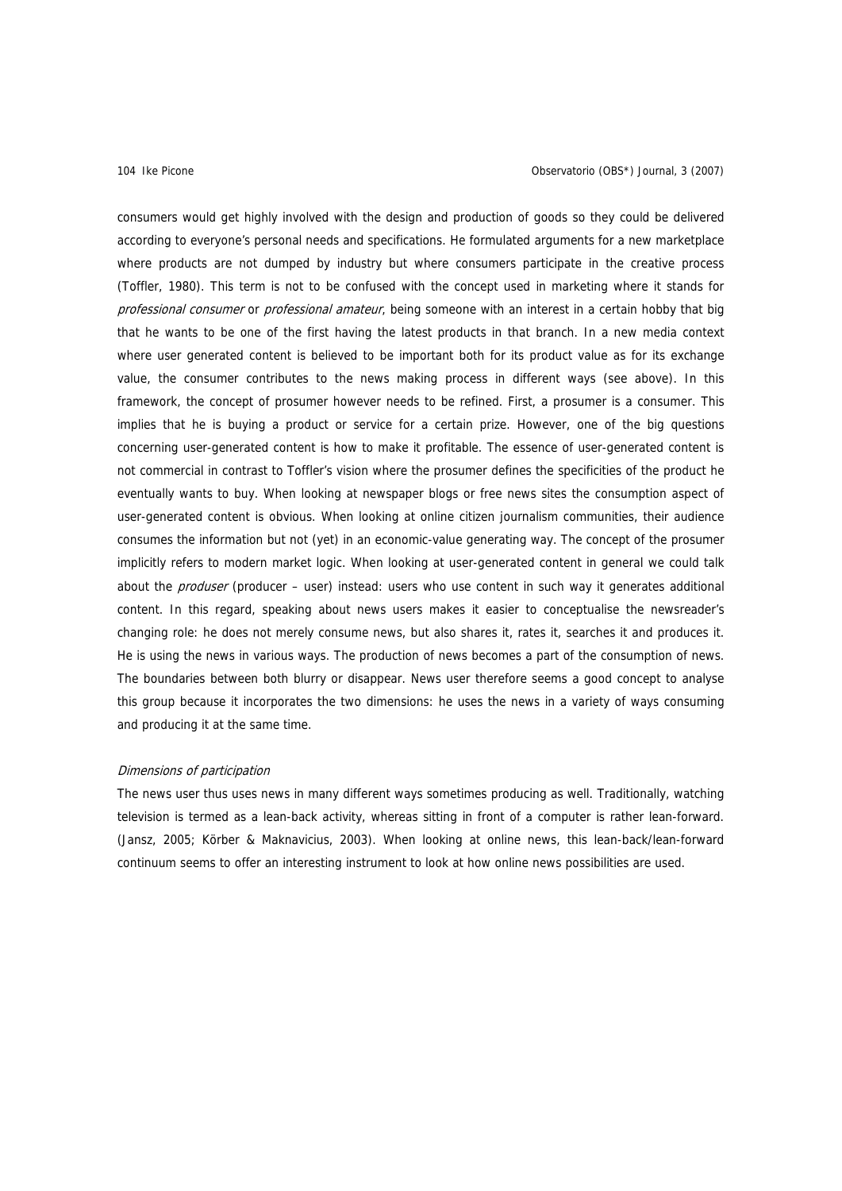consumers would get highly involved with the design and production of goods so they could be delivered according to everyone's personal needs and specifications. He formulated arguments for a new marketplace where products are not dumped by industry but where consumers participate in the creative process (Toffler, 1980). This term is not to be confused with the concept used in marketing where it stands for professional consumer or professional amateur, being someone with an interest in a certain hobby that big that he wants to be one of the first having the latest products in that branch. In a new media context where user generated content is believed to be important both for its product value as for its exchange value, the consumer contributes to the news making process in different ways (see above). In this framework, the concept of prosumer however needs to be refined. First, a prosumer is a consumer. This implies that he is buying a product or service for a certain prize. However, one of the big questions concerning user-generated content is how to make it profitable. The essence of user-generated content is not commercial in contrast to Toffler's vision where the prosumer defines the specificities of the product he eventually wants to buy. When looking at newspaper blogs or free news sites the consumption aspect of user-generated content is obvious. When looking at online citizen journalism communities, their audience consumes the information but not (yet) in an economic-value generating way. The concept of the prosumer implicitly refers to modern market logic. When looking at user-generated content in general we could talk about the *produser* (producer – user) instead: users who use content in such way it generates additional content. In this regard, speaking about news users makes it easier to conceptualise the newsreader's changing role: he does not merely consume news, but also shares it, rates it, searches it and produces it. He is using the news in various ways. The production of news becomes a part of the consumption of news. The boundaries between both blurry or disappear. News user therefore seems a good concept to analyse this group because it incorporates the two dimensions: he uses the news in a variety of ways consuming and producing it at the same time.

# Dimensions of participation

The news user thus uses news in many different ways sometimes producing as well. Traditionally, watching television is termed as a lean-back activity, whereas sitting in front of a computer is rather lean-forward. (Jansz, 2005; Körber & Maknavicius, 2003). When looking at online news, this lean-back/lean-forward continuum seems to offer an interesting instrument to look at how online news possibilities are used.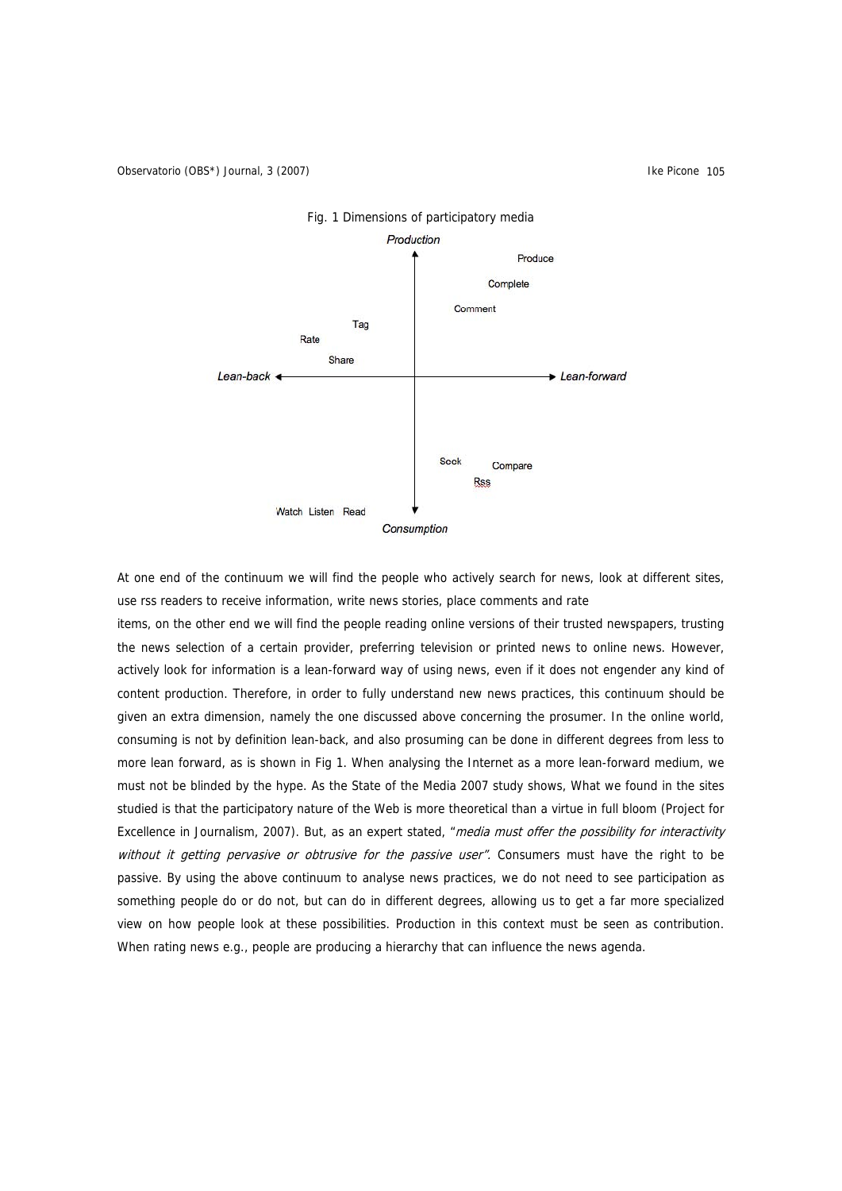

# Fig. 1 Dimensions of participatory media

At one end of the continuum we will find the people who actively search for news, look at different sites, use rss readers to receive information, write news stories, place comments and rate

items, on the other end we will find the people reading online versions of their trusted newspapers, trusting the news selection of a certain provider, preferring television or printed news to online news. However, actively look for information is a lean-forward way of using news, even if it does not engender any kind of content production. Therefore, in order to fully understand new news practices, this continuum should be given an extra dimension, namely the one discussed above concerning the prosumer. In the online world, consuming is not by definition lean-back, and also prosuming can be done in different degrees from less to more lean forward, as is shown in Fig 1. When analysing the Internet as a more lean-forward medium, we must not be blinded by the hype. As the State of the Media 2007 study shows, What we found in the sites studied is that the participatory nature of the Web is more theoretical than a virtue in full bloom (Project for Excellence in Journalism, 2007). But, as an expert stated, "media must offer the possibility for interactivity without it getting pervasive or obtrusive for the passive user". Consumers must have the right to be passive. By using the above continuum to analyse news practices, we do not need to see participation as something people do or do not, but can do in different degrees, allowing us to get a far more specialized view on how people look at these possibilities. Production in this context must be seen as contribution. When rating news e.g., people are producing a hierarchy that can influence the news agenda.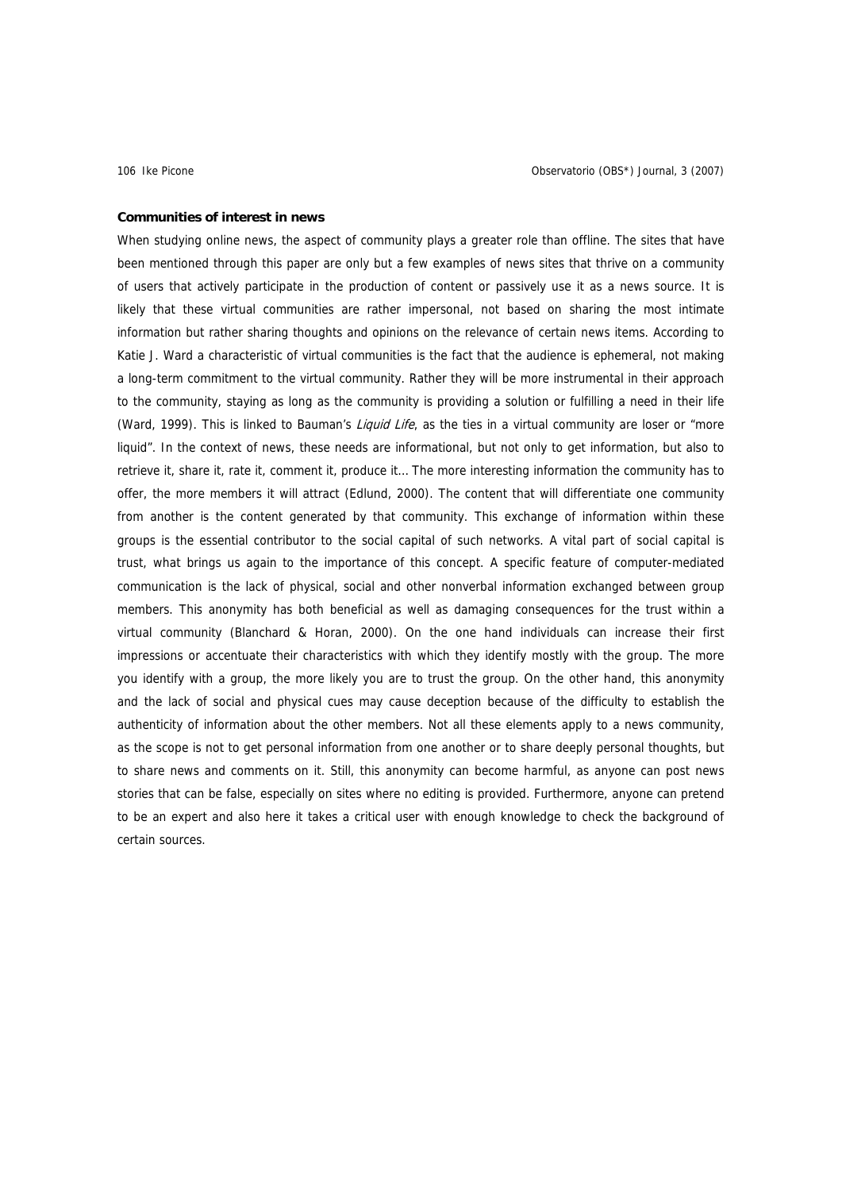# **Communities of interest in news**

When studying online news, the aspect of community plays a greater role than offline. The sites that have been mentioned through this paper are only but a few examples of news sites that thrive on a community of users that actively participate in the production of content or passively use it as a news source. It is likely that these virtual communities are rather impersonal, not based on sharing the most intimate information but rather sharing thoughts and opinions on the relevance of certain news items. According to Katie J. Ward a characteristic of virtual communities is the fact that the audience is ephemeral, not making a long-term commitment to the virtual community. Rather they will be more instrumental in their approach to the community, staying as long as the community is providing a solution or fulfilling a need in their life (Ward, 1999). This is linked to Bauman's *Liquid Life*, as the ties in a virtual community are loser or "more liquid". In the context of news, these needs are informational, but not only to get information, but also to retrieve it, share it, rate it, comment it, produce it… The more interesting information the community has to offer, the more members it will attract (Edlund, 2000). The content that will differentiate one community from another is the content generated by that community. This exchange of information within these groups is the essential contributor to the social capital of such networks. A vital part of social capital is trust, what brings us again to the importance of this concept. A specific feature of computer-mediated communication is the lack of physical, social and other nonverbal information exchanged between group members. This anonymity has both beneficial as well as damaging consequences for the trust within a virtual community (Blanchard & Horan, 2000). On the one hand individuals can increase their first impressions or accentuate their characteristics with which they identify mostly with the group. The more you identify with a group, the more likely you are to trust the group. On the other hand, this anonymity and the lack of social and physical cues may cause deception because of the difficulty to establish the authenticity of information about the other members. Not all these elements apply to a news community, as the scope is not to get personal information from one another or to share deeply personal thoughts, but to share news and comments on it. Still, this anonymity can become harmful, as anyone can post news stories that can be false, especially on sites where no editing is provided. Furthermore, anyone can pretend to be an expert and also here it takes a critical user with enough knowledge to check the background of certain sources.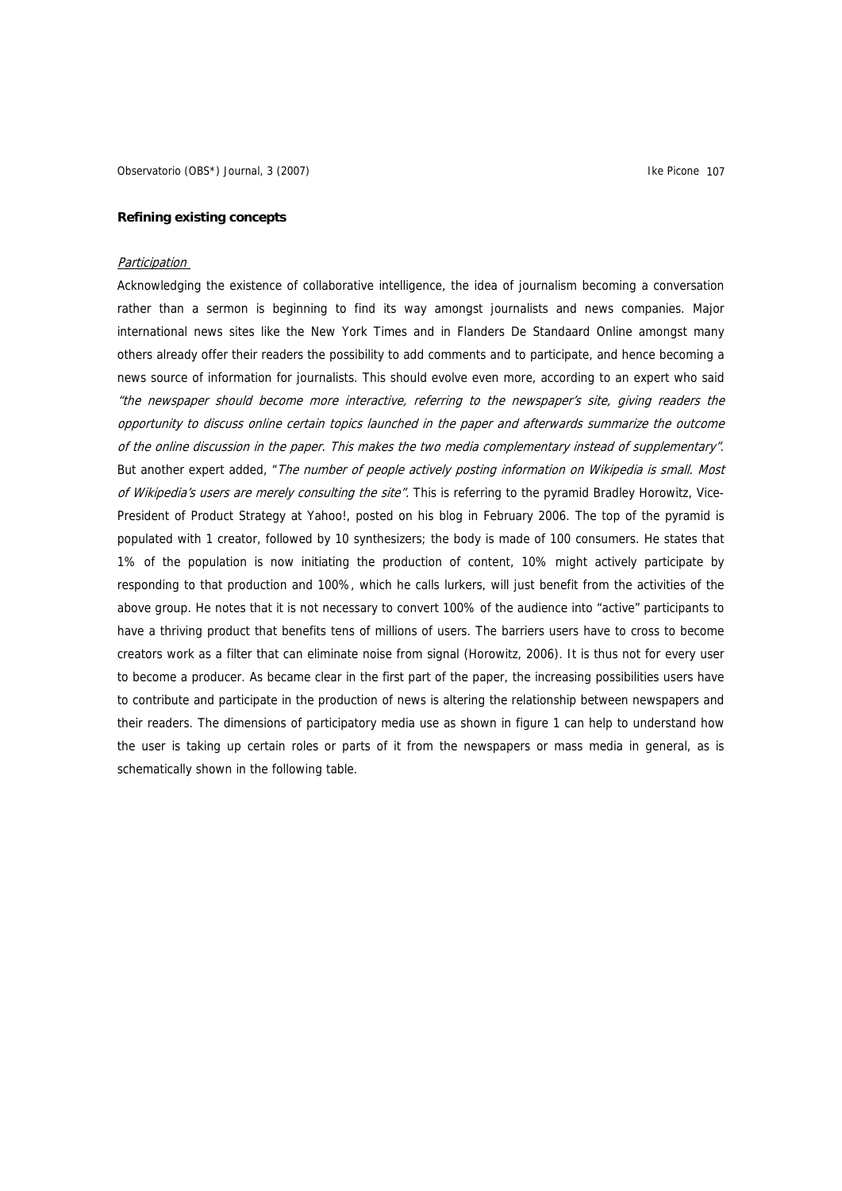Observatorio (OBS\*) Journal, 3 (2007) **Illustration Controller and Controller Act Controller and Controller Act Controller and Controller and Controller and Controller and Controller and Controller and Controller and Contr** 

# **Refining existing concepts**

# Participation

Acknowledging the existence of collaborative intelligence, the idea of journalism becoming a conversation rather than a sermon is beginning to find its way amongst journalists and news companies. Major international news sites like the New York Times and in Flanders De Standaard Online amongst many others already offer their readers the possibility to add comments and to participate, and hence becoming a news source of information for journalists. This should evolve even more, according to an expert who said "the newspaper should become more interactive, referring to the newspaper's site, giving readers the opportunity to discuss online certain topics launched in the paper and afterwards summarize the outcome of the online discussion in the paper. This makes the two media complementary instead of supplementary". But another expert added, "The number of people actively posting information on Wikipedia is small. Most of Wikipedia's users are merely consulting the site". This is referring to the pyramid Bradley Horowitz, Vice-President of Product Strategy at Yahoo!, posted on his blog in February 2006. The top of the pyramid is populated with 1 creator, followed by 10 synthesizers; the body is made of 100 consumers. He states that 1% of the population is now initiating the production of content, 10% might actively participate by responding to that production and 100%, which he calls lurkers, will just benefit from the activities of the above group. He notes that it is not necessary to convert 100% of the audience into "active" participants to have a thriving product that benefits tens of millions of users. The barriers users have to cross to become creators work as a filter that can eliminate noise from signal (Horowitz, 2006). It is thus not for every user to become a producer. As became clear in the first part of the paper, the increasing possibilities users have to contribute and participate in the production of news is altering the relationship between newspapers and their readers. The dimensions of participatory media use as shown in figure 1 can help to understand how the user is taking up certain roles or parts of it from the newspapers or mass media in general, as is schematically shown in the following table.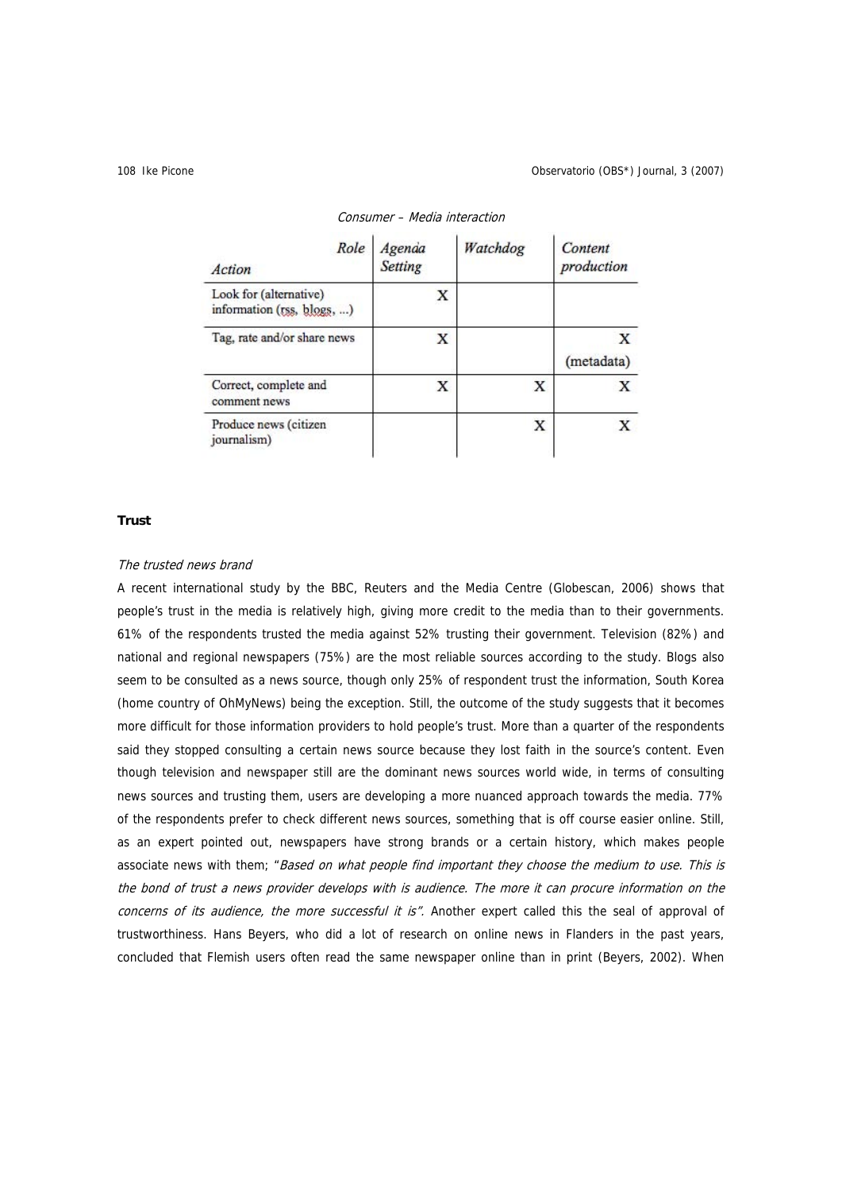| Role<br>Action                                       | Agenda<br>Setting | Watchdog | Content<br>production |
|------------------------------------------------------|-------------------|----------|-----------------------|
| Look for (alternative)<br>information (rss, blogs, ) | X                 |          |                       |
| Tag, rate and/or share news                          | X                 |          | X<br>(metadata)       |
| Correct, complete and<br>comment news                | х                 | х        | X                     |
| Produce news (citizen<br>journalism)                 |                   | X        |                       |

# Consumer – Media interaction

# **Trust**

# The trusted news brand

A recent international study by the BBC, Reuters and the Media Centre (Globescan, 2006) shows that people's trust in the media is relatively high, giving more credit to the media than to their governments. 61% of the respondents trusted the media against 52% trusting their government. Television (82%) and national and regional newspapers (75%) are the most reliable sources according to the study. Blogs also seem to be consulted as a news source, though only 25% of respondent trust the information, South Korea (home country of OhMyNews) being the exception. Still, the outcome of the study suggests that it becomes more difficult for those information providers to hold people's trust. More than a quarter of the respondents said they stopped consulting a certain news source because they lost faith in the source's content. Even though television and newspaper still are the dominant news sources world wide, in terms of consulting news sources and trusting them, users are developing a more nuanced approach towards the media. 77% of the respondents prefer to check different news sources, something that is off course easier online. Still, as an expert pointed out, newspapers have strong brands or a certain history, which makes people associate news with them; "Based on what people find important they choose the medium to use. This is the bond of trust a news provider develops with is audience. The more it can procure information on the concerns of its audience, the more successful it is". Another expert called this the seal of approval of trustworthiness. Hans Beyers, who did a lot of research on online news in Flanders in the past years, concluded that Flemish users often read the same newspaper online than in print (Beyers, 2002). When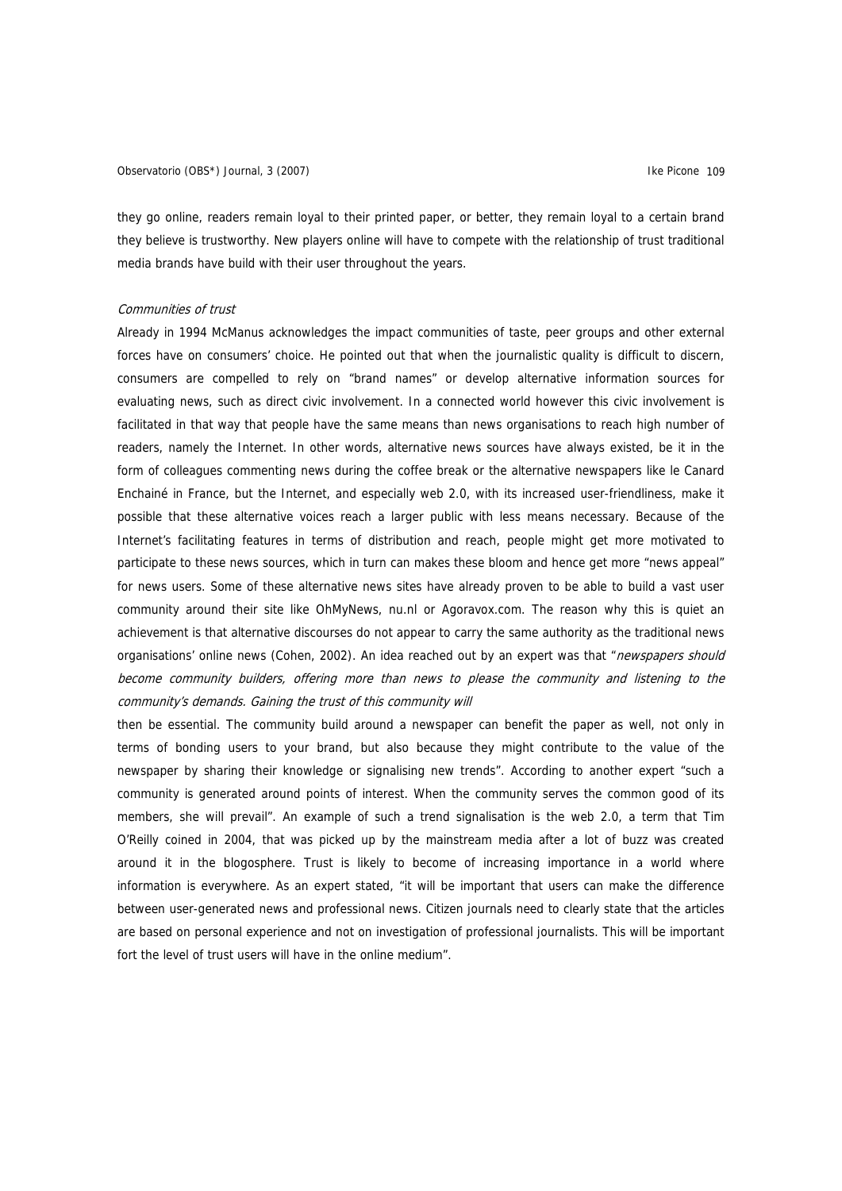they go online, readers remain loyal to their printed paper, or better, they remain loyal to a certain brand they believe is trustworthy. New players online will have to compete with the relationship of trust traditional media brands have build with their user throughout the years.

# Communities of trust

Already in 1994 McManus acknowledges the impact communities of taste, peer groups and other external forces have on consumers' choice. He pointed out that when the journalistic quality is difficult to discern, consumers are compelled to rely on "brand names" or develop alternative information sources for evaluating news, such as direct civic involvement. In a connected world however this civic involvement is facilitated in that way that people have the same means than news organisations to reach high number of readers, namely the Internet. In other words, alternative news sources have always existed, be it in the form of colleagues commenting news during the coffee break or the alternative newspapers like le Canard Enchainé in France, but the Internet, and especially web 2.0, with its increased user-friendliness, make it possible that these alternative voices reach a larger public with less means necessary. Because of the Internet's facilitating features in terms of distribution and reach, people might get more motivated to participate to these news sources, which in turn can makes these bloom and hence get more "news appeal" for news users. Some of these alternative news sites have already proven to be able to build a vast user community around their site like OhMyNews, nu.nl or Agoravox.com. The reason why this is quiet an achievement is that alternative discourses do not appear to carry the same authority as the traditional news organisations' online news (Cohen, 2002). An idea reached out by an expert was that "newspapers should become community builders, offering more than news to please the community and listening to the community's demands. Gaining the trust of this community will

then be essential. The community build around a newspaper can benefit the paper as well, not only in terms of bonding users to your brand, but also because they might contribute to the value of the newspaper by sharing their knowledge or signalising new trends". According to another expert "such a community is generated around points of interest. When the community serves the common good of its members, she will prevail". An example of such a trend signalisation is the web 2.0, a term that Tim O'Reilly coined in 2004, that was picked up by the mainstream media after a lot of buzz was created around it in the blogosphere. Trust is likely to become of increasing importance in a world where information is everywhere. As an expert stated, "it will be important that users can make the difference between user-generated news and professional news. Citizen journals need to clearly state that the articles are based on personal experience and not on investigation of professional journalists. This will be important fort the level of trust users will have in the online medium".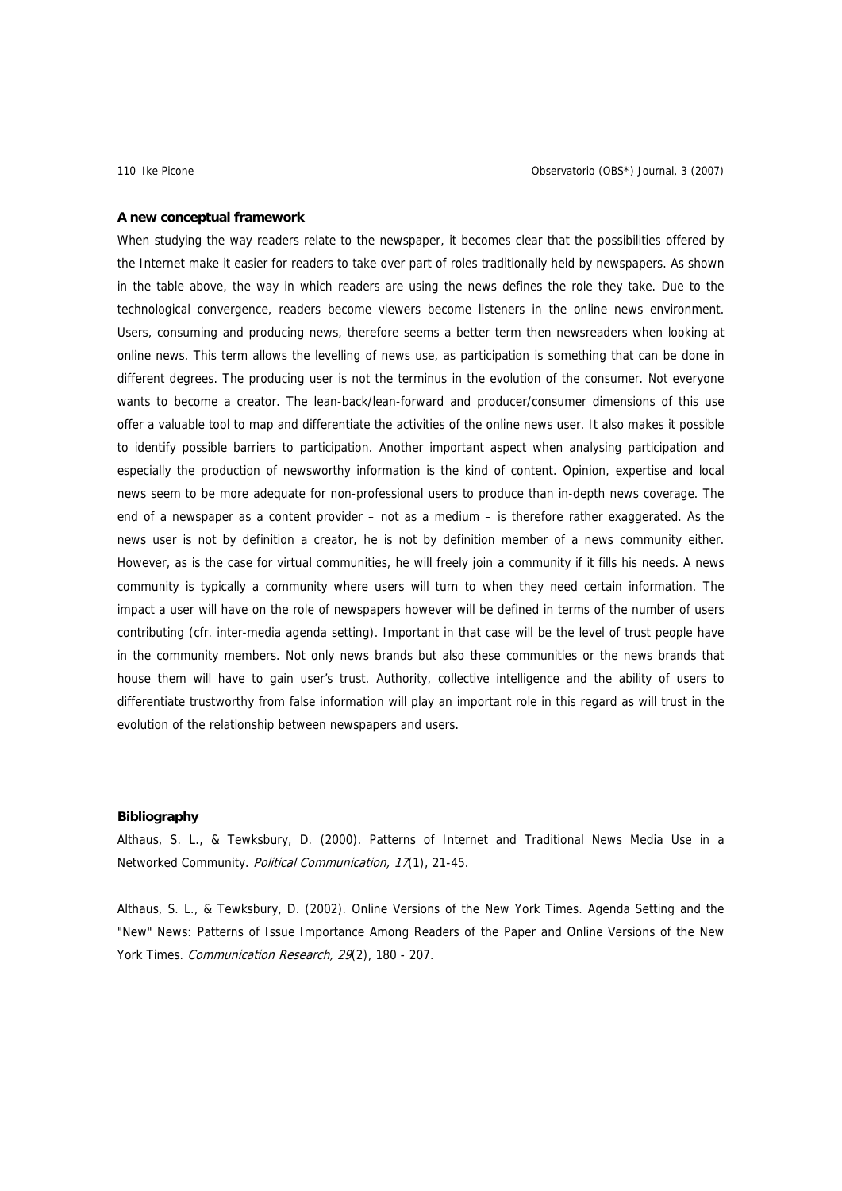### **A new conceptual framework**

When studying the way readers relate to the newspaper, it becomes clear that the possibilities offered by the Internet make it easier for readers to take over part of roles traditionally held by newspapers. As shown in the table above, the way in which readers are using the news defines the role they take. Due to the technological convergence, readers become viewers become listeners in the online news environment. Users, consuming and producing news, therefore seems a better term then newsreaders when looking at online news. This term allows the levelling of news use, as participation is something that can be done in different degrees. The producing user is not the terminus in the evolution of the consumer. Not everyone wants to become a creator. The lean-back/lean-forward and producer/consumer dimensions of this use offer a valuable tool to map and differentiate the activities of the online news user. It also makes it possible to identify possible barriers to participation. Another important aspect when analysing participation and especially the production of newsworthy information is the kind of content. Opinion, expertise and local news seem to be more adequate for non-professional users to produce than in-depth news coverage. The end of a newspaper as a content provider – not as a medium – is therefore rather exaggerated. As the news user is not by definition a creator, he is not by definition member of a news community either. However, as is the case for virtual communities, he will freely join a community if it fills his needs. A news community is typically a community where users will turn to when they need certain information. The impact a user will have on the role of newspapers however will be defined in terms of the number of users contributing (cfr. inter-media agenda setting). Important in that case will be the level of trust people have in the community members. Not only news brands but also these communities or the news brands that house them will have to gain user's trust. Authority, collective intelligence and the ability of users to differentiate trustworthy from false information will play an important role in this regard as will trust in the evolution of the relationship between newspapers and users.

# **Bibliography**

Althaus, S. L., & Tewksbury, D. (2000). Patterns of Internet and Traditional News Media Use in a Networked Community. Political Communication, 17(1), 21-45.

Althaus, S. L., & Tewksbury, D. (2002). Online Versions of the New York Times. Agenda Setting and the "New" News: Patterns of Issue Importance Among Readers of the Paper and Online Versions of the New York Times. Communication Research, 29(2), 180 - 207.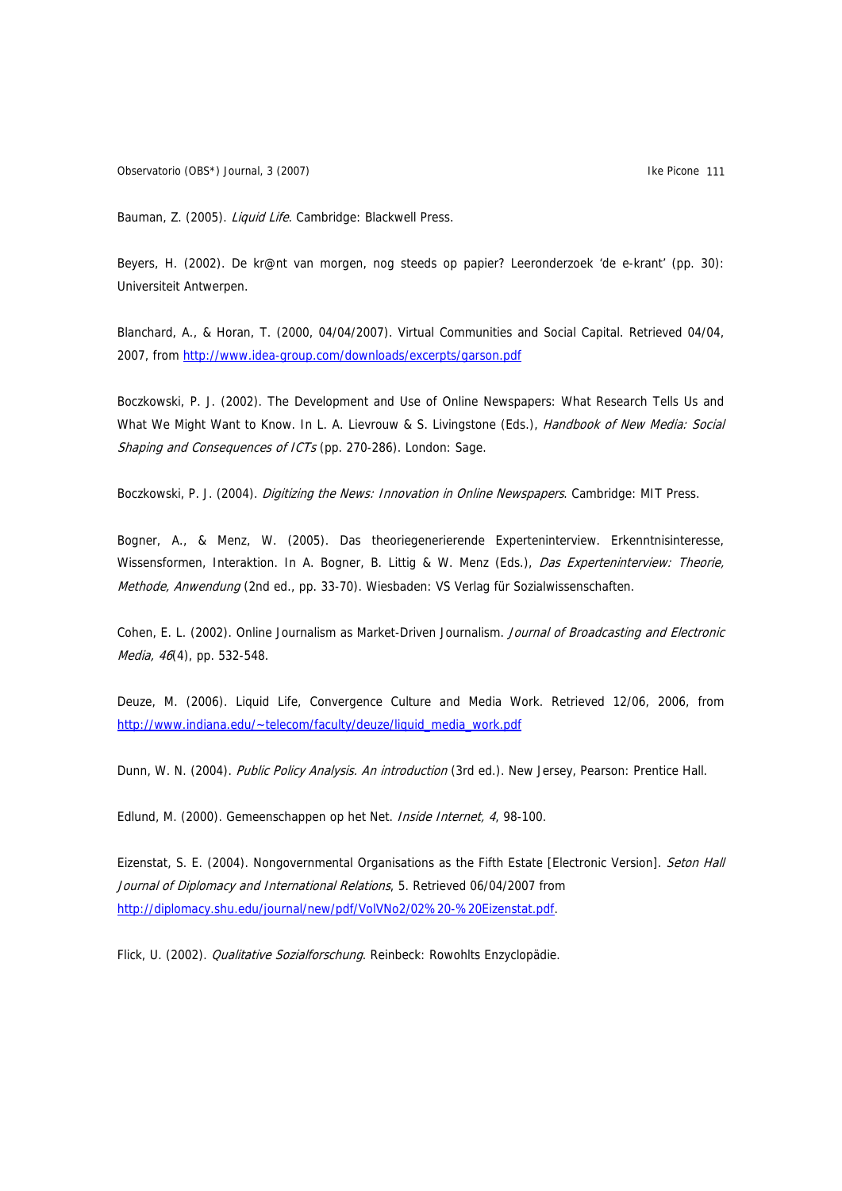Observatorio (OBS\*) Journal, 3 (2007) **Illustration Controller and Controller Act Controller and Controller Act Controller and Controller and Controller and Controller and Controller and Controller and Controller and Contr** 

Bauman, Z. (2005). Liquid Life. Cambridge: Blackwell Press.

Beyers, H. (2002). De kr@nt van morgen, nog steeds op papier? Leeronderzoek 'de e-krant' (pp. 30): Universiteit Antwerpen.

Blanchard, A., & Horan, T. (2000, 04/04/2007). Virtual Communities and Social Capital. Retrieved 04/04, 2007, from <http://www.idea-group.com/downloads/excerpts/garson.pdf>

Boczkowski, P. J. (2002). The Development and Use of Online Newspapers: What Research Tells Us and What We Might Want to Know. In L. A. Lievrouw & S. Livingstone (Eds.), Handbook of New Media: Social Shaping and Consequences of ICTs (pp. 270-286). London: Sage.

Boczkowski, P. J. (2004). Digitizing the News: Innovation in Online Newspapers. Cambridge: MIT Press.

Bogner, A., & Menz, W. (2005). Das theoriegenerierende Experteninterview. Erkenntnisinteresse, Wissensformen, Interaktion. In A. Bogner, B. Littig & W. Menz (Eds.), Das Experteninterview: Theorie, Methode, Anwendung (2nd ed., pp. 33-70). Wiesbaden: VS Verlag für Sozialwissenschaften.

Cohen, E. L. (2002). Online Journalism as Market-Driven Journalism. Journal of Broadcasting and Electronic Media, 46(4), pp. 532-548.

Deuze, M. (2006). Liquid Life, Convergence Culture and Media Work. Retrieved 12/06, 2006, from http://www.indiana.edu/~telecom/faculty/deuze/liquid\_media\_work.pdf

Dunn, W. N. (2004). Public Policy Analysis. An introduction (3rd ed.). New Jersey, Pearson: Prentice Hall.

Edlund, M. (2000). Gemeenschappen op het Net. Inside Internet, 4, 98-100.

Eizenstat, S. E. (2004). Nongovernmental Organisations as the Fifth Estate [Electronic Version]. Seton Hall Journal of Diplomacy and International Relations, 5. Retrieved 06/04/2007 from <http://diplomacy.shu.edu/journal/new/pdf/VolVNo2/02%20-%20Eizenstat.pdf>.

Flick, U. (2002). Qualitative Sozialforschung. Reinbeck: Rowohlts Enzyclopädie.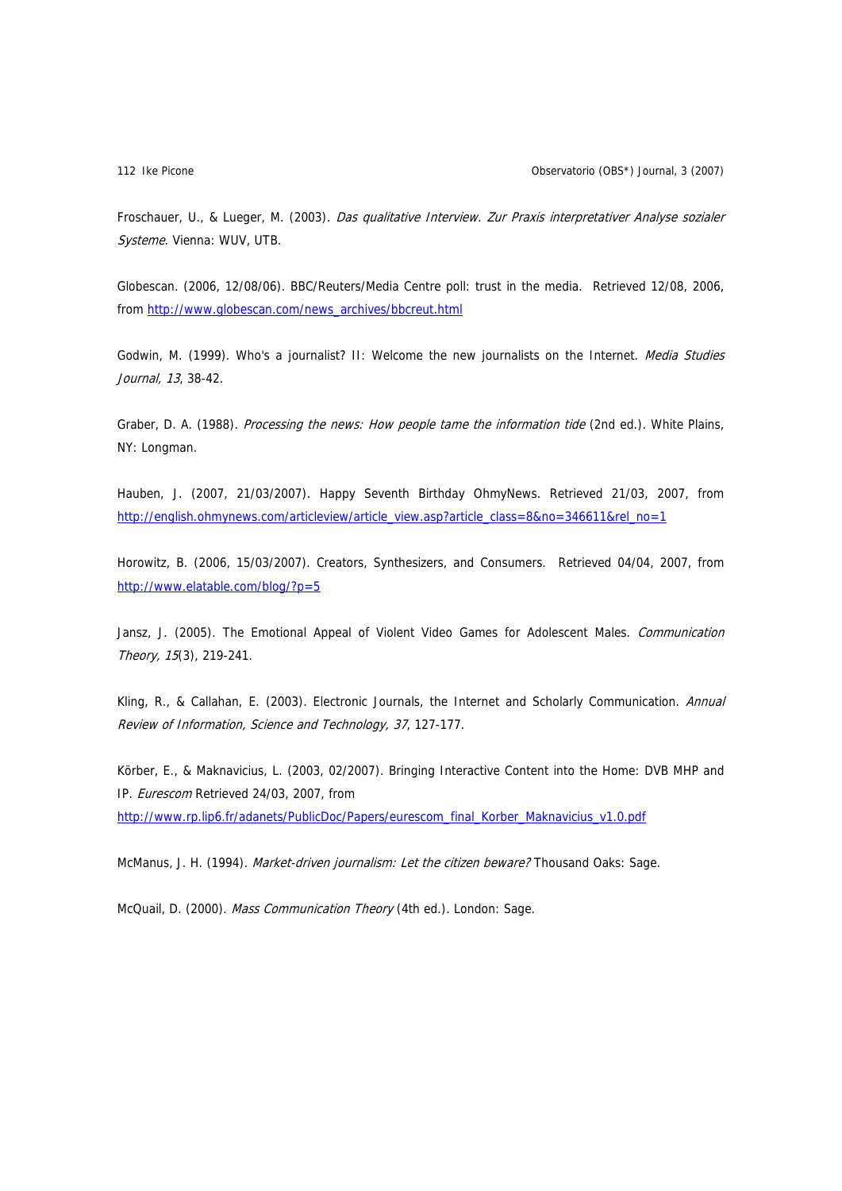Froschauer, U., & Lueger, M. (2003). Das qualitative Interview. Zur Praxis interpretativer Analyse sozialer Systeme. Vienna: WUV, UTB.

Globescan. (2006, 12/08/06). BBC/Reuters/Media Centre poll: trust in the media. Retrieved 12/08, 2006, from [http://www.globescan.com/news\\_archives/bbcreut.html](http://www.globescan.com/news_archives/bbcreut.html)

Godwin, M. (1999). Who's a journalist? II: Welcome the new journalists on the Internet. Media Studies Journal, 13, 38-42.

Graber, D. A. (1988). Processing the news: How people tame the information tide (2nd ed.). White Plains, NY: Longman.

Hauben, J. (2007, 21/03/2007). Happy Seventh Birthday OhmyNews. Retrieved 21/03, 2007, from [http://english.ohmynews.com/articleview/article\\_view.asp?article\\_class=8&no=346611&rel\\_no=1](http://english.ohmynews.com/articleview/article_view.asp?article_class=8&no=346611&rel_no=1)

Horowitz, B. (2006, 15/03/2007). Creators, Synthesizers, and Consumers. Retrieved 04/04, 2007, from <http://www.elatable.com/blog/?p=5>

Jansz, J. (2005). The Emotional Appeal of Violent Video Games for Adolescent Males. *Communication* Theory, 15(3), 219-241.

Kling, R., & Callahan, E. (2003). Electronic Journals, the Internet and Scholarly Communication. Annual Review of Information, Science and Technology, 37, 127-177.

Körber, E., & Maknavicius, L. (2003, 02/2007). Bringing Interactive Content into the Home: DVB MHP and IP. Eurescom Retrieved 24/03, 2007, from

http://www.rp.lip6.fr/adanets/PublicDoc/Papers/eurescom\_final\_Korber\_Maknavicius\_v1.0.pdf

McManus, J. H. (1994). Market-driven journalism: Let the citizen beware? Thousand Oaks: Sage.

McQuail, D. (2000). Mass Communication Theory (4th ed.). London: Sage.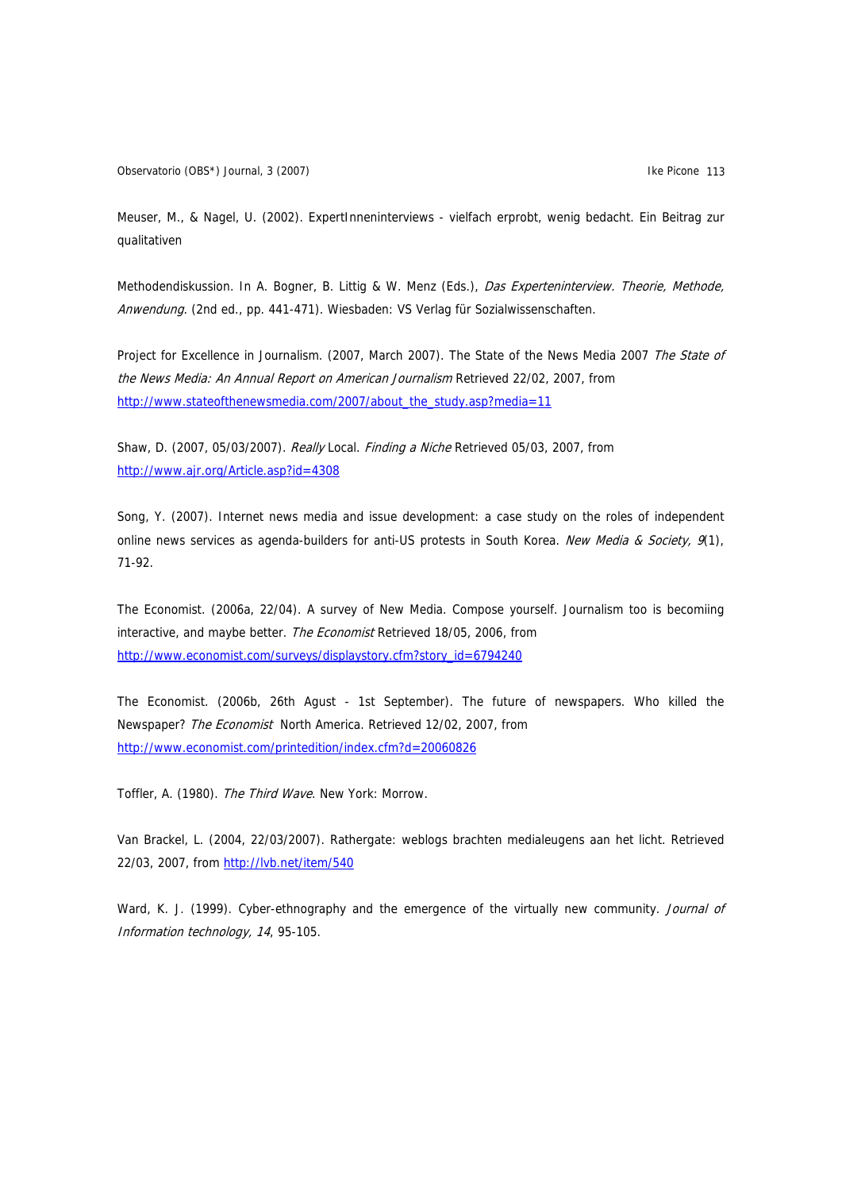Observatorio (OBS\*) Journal, 3 (2007) **Illustration Controller and Controller Act Controller and Controller Act Controller and Controller and Controller and Controller and Controller and Controller and Controller and Contr** 

Meuser, M., & Nagel, U. (2002). ExpertInneninterviews - vielfach erprobt, wenig bedacht. Ein Beitrag zur qualitativen

Methodendiskussion. In A. Bogner, B. Littig & W. Menz (Eds.), Das Experteninterview. Theorie, Methode, Anwendung. (2nd ed., pp. 441-471). Wiesbaden: VS Verlag für Sozialwissenschaften.

Project for Excellence in Journalism. (2007, March 2007). The State of the News Media 2007 The State of the News Media: An Annual Report on American Journalism Retrieved 22/02, 2007, from [http://www.stateofthenewsmedia.com/2007/about\\_the\\_study.asp?media=11](http://www.stateofthenewsmedia.com/2007/about_the_study.asp?media=11)

Shaw, D. (2007, 05/03/2007). Really Local. Finding a Niche Retrieved 05/03, 2007, from <http://www.ajr.org/Article.asp?id=4308>

Song, Y. (2007). Internet news media and issue development: a case study on the roles of independent online news services as agenda-builders for anti-US protests in South Korea. New Media & Society, 9(1), 71-92.

The Economist. (2006a, 22/04). A survey of New Media. Compose yourself. Journalism too is becomiing interactive, and maybe better. The Economist Retrieved 18/05, 2006, from [http://www.economist.com/surveys/displaystory.cfm?story\\_id=6794240](http://www.economist.com/surveys/displaystory.cfm?story_id=6794240)

The Economist. (2006b, 26th Agust - 1st September). The future of newspapers. Who killed the Newspaper? The Economist North America. Retrieved 12/02, 2007, from <http://www.economist.com/printedition/index.cfm?d=20060826>

Toffler, A. (1980). The Third Wave. New York: Morrow.

Van Brackel, L. (2004, 22/03/2007). Rathergate: weblogs brachten medialeugens aan het licht. Retrieved 22/03, 2007, from<http://lvb.net/item/540>

Ward, K. J. (1999). Cyber-ethnography and the emergence of the virtually new community. Journal of Information technology, 14, 95-105.